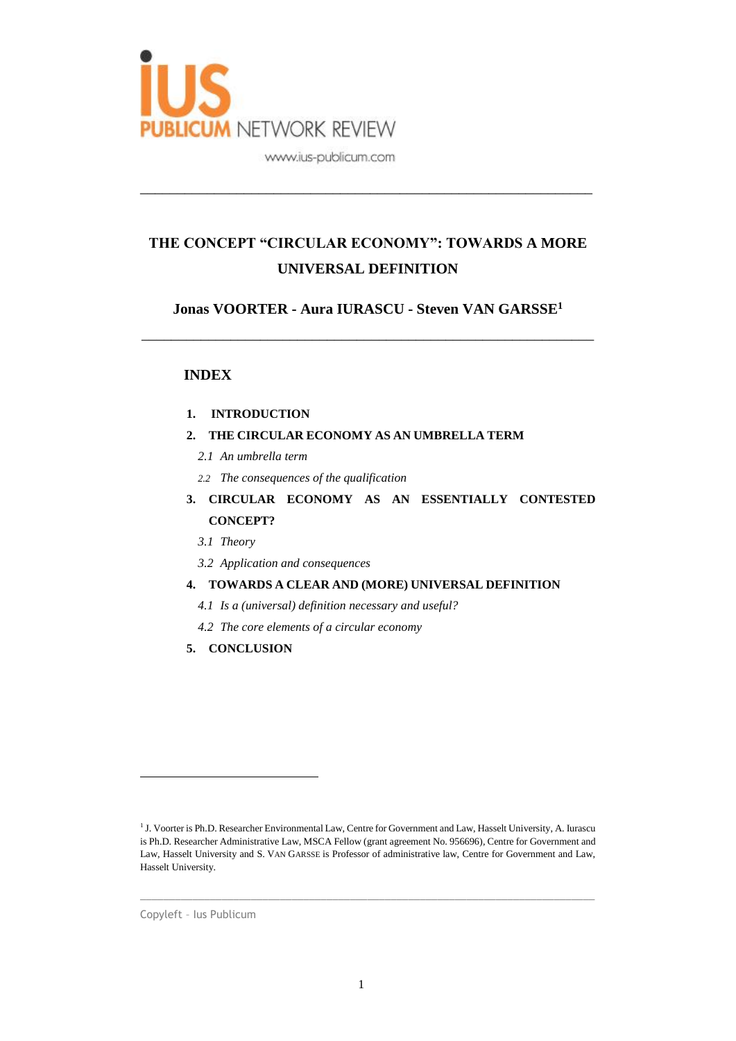

# **THE CONCEPT "CIRCULAR ECONOMY": TOWARDS A MORE UNIVERSAL DEFINITION**

\_\_\_\_\_\_\_\_\_\_\_\_\_\_\_\_\_\_\_\_\_\_\_\_\_\_\_\_\_\_\_\_\_\_\_\_\_\_\_\_\_\_\_\_\_\_\_\_\_\_\_\_\_\_\_\_\_\_\_\_\_

**Jonas VOORTER - Aura IURASCU - Steven VAN GARSSE<sup>1</sup>**

\_\_\_\_\_\_\_\_\_\_\_\_\_\_\_\_\_\_\_\_\_\_\_\_\_\_\_\_\_\_\_\_\_\_\_\_\_\_\_\_\_\_\_\_\_\_\_\_\_\_\_\_\_\_\_\_\_\_\_\_\_

# **INDEX**

## **1. INTRODUCTION**

- **2. THE CIRCULAR ECONOMY AS AN UMBRELLA TERM**
	- *2.1 An umbrella term*
	- *2.2 The consequences of the qualification*
- **3. CIRCULAR ECONOMY AS AN ESSENTIALLY CONTESTED CONCEPT?**
	- *3.1 Theory*
	- *3.2 Application and consequences*

## **4. TOWARDS A CLEAR AND (MORE) UNIVERSAL DEFINITION**

- *4.1 Is a (universal) definition necessary and useful?*
- *4.2 The core elements of a circular economy*
- **5. CONCLUSION**

 $\_$  , and the set of the set of the set of the set of the set of the set of the set of the set of the set of the set of the set of the set of the set of the set of the set of the set of the set of the set of the set of th

Copyleft – Ius Publicum

<sup>&</sup>lt;sup>1</sup> J. Voorter is Ph.D. Researcher Environmental Law, Centre for Government and Law, Hasselt University, A. Iurascu is Ph.D. Researcher Administrative Law, MSCA Fellow (grant agreement No. 956696), Centre for Government and Law, Hasselt University and S. VAN GARSSE is Professor of administrative law, Centre for Government and Law, Hasselt University.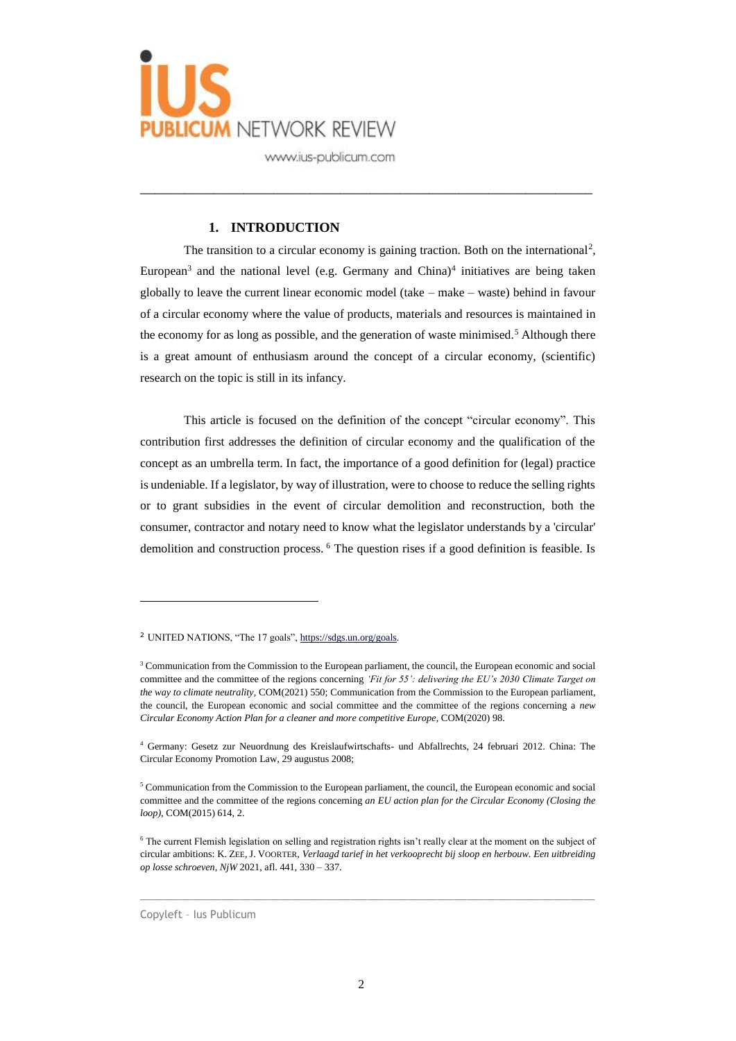

### **1. INTRODUCTION**

The transition to a circular economy is gaining traction. Both on the international<sup>2</sup>, European<sup>3</sup> and the national level (e.g. Germany and China)<sup>4</sup> initiatives are being taken globally to leave the current linear economic model (take – make – waste) behind in favour of a circular economy where the value of products, materials and resources is maintained in the economy for as long as possible, and the generation of waste minimised.<sup>5</sup> Although there is a great amount of enthusiasm around the concept of a circular economy, (scientific) research on the topic is still in its infancy.

\_\_\_\_\_\_\_\_\_\_\_\_\_\_\_\_\_\_\_\_\_\_\_\_\_\_\_\_\_\_\_\_\_\_\_\_\_\_\_\_\_\_\_\_\_\_\_\_\_\_\_\_\_\_\_\_\_\_\_\_\_

This article is focused on the definition of the concept "circular economy". This contribution first addresses the definition of circular economy and the qualification of the concept as an umbrella term. In fact, the importance of a good definition for (legal) practice is undeniable. If a legislator, by way of illustration, were to choose to reduce the selling rights or to grant subsidies in the event of circular demolition and reconstruction, both the consumer, contractor and notary need to know what the legislator understands by a 'circular' demolition and construction process. <sup>6</sup> The question rises if a good definition is feasible. Is

 $\_$  , and the set of the set of the set of the set of the set of the set of the set of the set of the set of the set of the set of the set of the set of the set of the set of the set of the set of the set of the set of th

Copyleft – Ius Publicum

<sup>2</sup> UNITED NATIONS, "The 17 goals"[, https://sdgs.un.org/goals.](https://sdgs.un.org/goals)

<sup>&</sup>lt;sup>3</sup> Communication from the Commission to the European parliament, the council, the European economic and social committee and the committee of the regions concerning *'Fit for 55': delivering the EU's 2030 Climate Target on the way to climate neutrality*, COM(2021) 550; Communication from the Commission to the European parliament, the council, the European economic and social committee and the committee of the regions concerning a *new Circular Economy Action Plan for a cleaner and more competitive Europe*, COM(2020) 98.

<sup>4</sup> Germany: Gesetz zur Neuordnung des Kreislaufwirtschafts- und Abfallrechts, 24 februari 2012. China: The Circular Economy Promotion Law, 29 augustus 2008;

<sup>5</sup> Communication from the Commission to the European parliament, the council, the European economic and social committee and the committee of the regions concerning *an EU action plan for the Circular Economy (Closing the loop)*, COM(2015) 614, 2.

<sup>6</sup> The current Flemish legislation on selling and registration rights isn't really clear at the moment on the subject of circular ambitions: K. ZEE, J. VOORTER, *Verlaagd tarief in het verkooprecht bij sloop en herbouw. Een uitbreiding op losse schroeven*, *NjW* 2021, afl. 441, 330 – 337.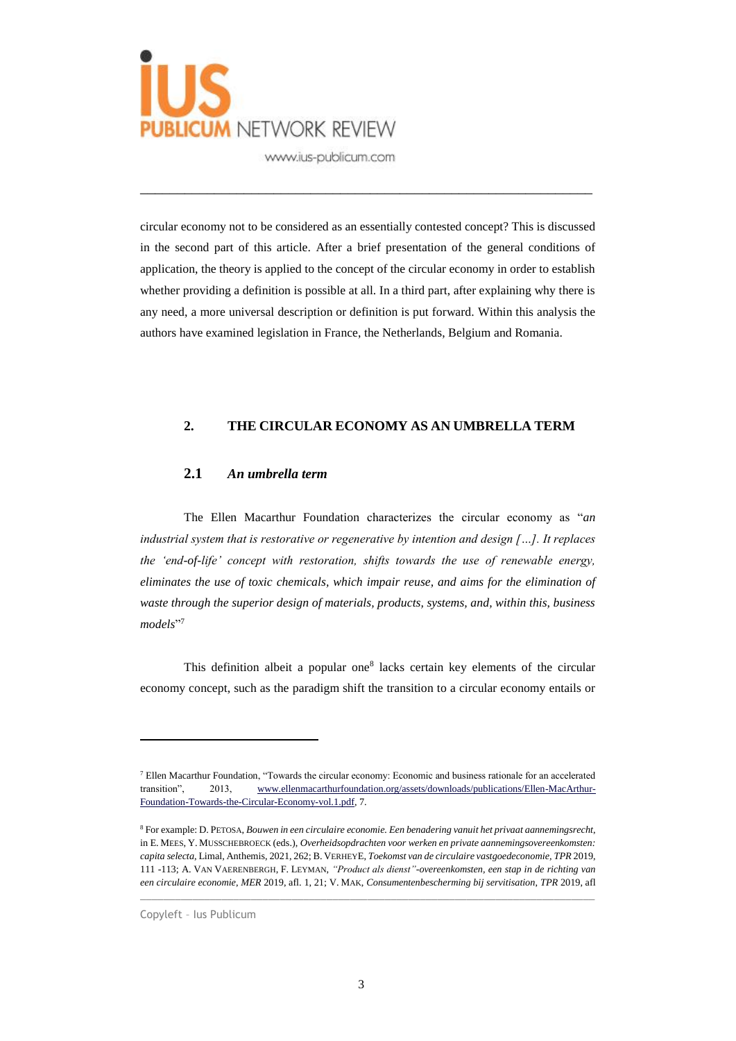

circular economy not to be considered as an essentially contested concept? This is discussed in the second part of this article. After a brief presentation of the general conditions of application, the theory is applied to the concept of the circular economy in order to establish whether providing a definition is possible at all. In a third part, after explaining why there is any need, a more universal description or definition is put forward. Within this analysis the authors have examined legislation in France, the Netherlands, Belgium and Romania.

\_\_\_\_\_\_\_\_\_\_\_\_\_\_\_\_\_\_\_\_\_\_\_\_\_\_\_\_\_\_\_\_\_\_\_\_\_\_\_\_\_\_\_\_\_\_\_\_\_\_\_\_\_\_\_\_\_\_\_\_\_

#### **2. THE CIRCULAR ECONOMY AS AN UMBRELLA TERM**

#### **2.1** *An umbrella term*

The Ellen Macarthur Foundation characterizes the circular economy as "*an industrial system that is restorative or regenerative by intention and design […]. It replaces the 'end-of-life' concept with restoration, shifts towards the use of renewable energy, eliminates the use of toxic chemicals, which impair reuse, and aims for the elimination of waste through the superior design of materials, products, systems, and, within this, business models*" 7

This definition albeit a popular one<sup>8</sup> lacks certain key elements of the circular economy concept, such as the paradigm shift the transition to a circular economy entails or

 $\_$  , and the set of the set of the set of the set of the set of the set of the set of the set of the set of the set of the set of the set of the set of the set of the set of the set of the set of the set of the set of th

Copyleft – Ius Publicum

<sup>7</sup> Ellen Macarthur Foundation, "Towards the circular economy: Economic and business rationale for an accelerated transition", 2013, [www.ellenmacarthurfoundation.org/assets/downloads/publications/Ellen-MacArthur-](https://www.ellenmacarthurfoundation.org/assets/downloads/publications/Ellen-MacArthur-Foundation-Towards-the-Circular-Economy-vol.1.pdf)[Foundation-Towards-the-Circular-Economy-vol.1.pdf,](https://www.ellenmacarthurfoundation.org/assets/downloads/publications/Ellen-MacArthur-Foundation-Towards-the-Circular-Economy-vol.1.pdf) 7.

<sup>8</sup> For example: D. PETOSA, *Bouwen in een circulaire economie. Een benadering vanuit het privaat aannemingsrecht*, in E. MEES, Y. MUSSCHEBROECK (eds.), *Overheidsopdrachten voor werken en private aannemingsovereenkomsten: capita selecta*, Limal, Anthemis, 2021, 262; B. VERHEYE, *Toekomst van de circulaire vastgoedeconomie, TPR* 2019, 111 -113; A. VAN VAERENBERGH, F. LEYMAN, *"Product als dienst"-overeenkomsten, een stap in de richting van een circulaire economie*, *MER* 2019, afl. 1, 21; V. MAK, *Consumentenbescherming bij servitisation*, *TPR* 2019, afl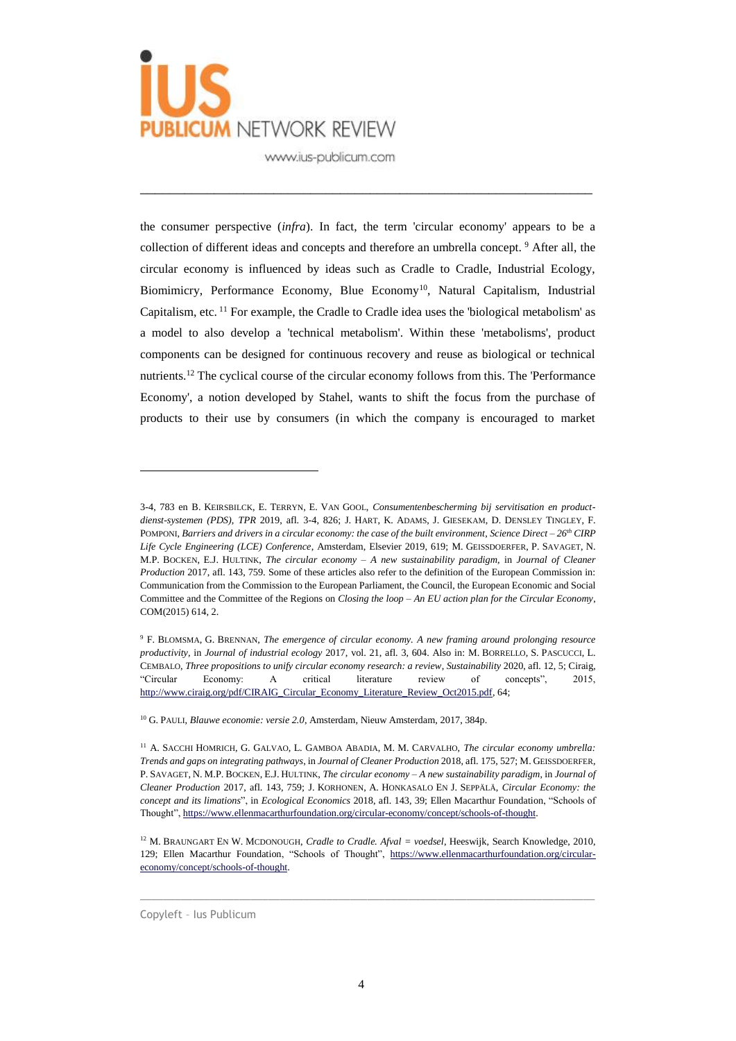

the consumer perspective (*infra*). In fact, the term 'circular economy' appears to be a collection of different ideas and concepts and therefore an umbrella concept. <sup>9</sup> After all, the circular economy is influenced by ideas such as Cradle to Cradle, Industrial Ecology, Biomimicry, Performance Economy, Blue Economy<sup>10</sup>, Natural Capitalism, Industrial Capitalism, etc. <sup>11</sup> For example, the Cradle to Cradle idea uses the 'biological metabolism' as a model to also develop a 'technical metabolism'. Within these 'metabolisms', product components can be designed for continuous recovery and reuse as biological or technical nutrients.<sup>12</sup> The cyclical course of the circular economy follows from this. The 'Performance' Economy', a notion developed by Stahel, wants to shift the focus from the purchase of products to their use by consumers (in which the company is encouraged to market

\_\_\_\_\_\_\_\_\_\_\_\_\_\_\_\_\_\_\_\_\_\_\_\_\_\_\_\_\_\_\_\_\_\_\_\_\_\_\_\_\_\_\_\_\_\_\_\_\_\_\_\_\_\_\_\_\_\_\_\_\_

 $\_$  , and the set of the set of the set of the set of the set of the set of the set of the set of the set of the set of the set of the set of the set of the set of the set of the set of the set of the set of the set of th

Copyleft – Ius Publicum

<sup>3-4, 783</sup> en B. KEIRSBILCK, E. TERRYN, E. VAN GOOL, *Consumentenbescherming bij servitisation en productdienst-systemen (PDS)*, *TPR* 2019, afl. 3-4, 826; J. HART, K. ADAMS, J. GIESEKAM, D. DENSLEY TINGLEY, F. POMPONI, *Barriers and drivers in a circular economy: the case of the built environment*, *Science Direct – 26th CIRP Life Cycle Engineering (LCE) Conference*, Amsterdam, Elsevier 2019, 619; M. GEISSDOERFER, P. SAVAGET, N. M.P. BOCKEN, E.J. HULTINK, *The circular economy – A new sustainability paradigm*, in *Journal of Cleaner Production* 2017, afl. 143, 759. Some of these articles also refer to the definition of the European Commission in: Communication from the Commission to the European Parliament, the Council, the European Economic and Social Committee and the Committee of the Regions on *Closing the loop – An EU action plan for the Circular Economy*, COM(2015) 614, 2.

<sup>9</sup> F. BLOMSMA, G. BRENNAN, *The emergence of circular economy. A new framing around prolonging resource productivity*, in *Journal of industrial ecology* 2017, vol. 21, afl. 3, 604. Also in: M. BORRELLO, S. PASCUCCI, L. CEMBALO, *Three propositions to unify circular economy research: a review*, *Sustainability* 2020, afl. 12, 5; Ciraig, "Circular Economy: A critical literature review of concepts", 2015, [http://www.ciraig.org/pdf/CIRAIG\\_Circular\\_Economy\\_Literature\\_Review\\_Oct2015.pdf,](http://www.ciraig.org/pdf/CIRAIG_Circular_Economy_Literature_Review_Oct2015.pdf) 64;

<sup>10</sup> G. PAULI, *Blauwe economie: versie 2.0*, Amsterdam, Nieuw Amsterdam, 2017, 384p.

<sup>11</sup> A. SACCHI HOMRICH, G. GALVAO, L. GAMBOA ABADIA, M. M. CARVALHO, *The circular economy umbrella: Trends and gaps on integrating pathways*, in *Journal of Cleaner Production* 2018, afl. 175, 527; M. GEISSDOERFER, P. SAVAGET, N. M.P. BOCKEN, E.J. HULTINK, *The circular economy – A new sustainability paradigm*, in *Journal of Cleaner Production* 2017, afl. 143, 759; J. KORHONEN, A. HONKASALO EN J. SEPPÄLÄ, *Circular Economy: the concept and its limations*", in *Ecological Economics* 2018, afl. 143, 39; Ellen Macarthur Foundation, "Schools of Thought"[, https://www.ellenmacarthurfoundation.org/circular-economy/concept/schools-of-thought.](https://www.ellenmacarthurfoundation.org/circular-economy/concept/schools-of-thought)

<sup>12</sup> M. BRAUNGART EN W. MCDONOUGH, *Cradle to Cradle. Afval = voedsel*, Heeswijk, Search Knowledge, 2010, 129; Ellen Macarthur Foundation, "Schools of Thought", [https://www.ellenmacarthurfoundation.org/circular](https://www.ellenmacarthurfoundation.org/circular-economy/concept/schools-of-thought)[economy/concept/schools-of-thought.](https://www.ellenmacarthurfoundation.org/circular-economy/concept/schools-of-thought)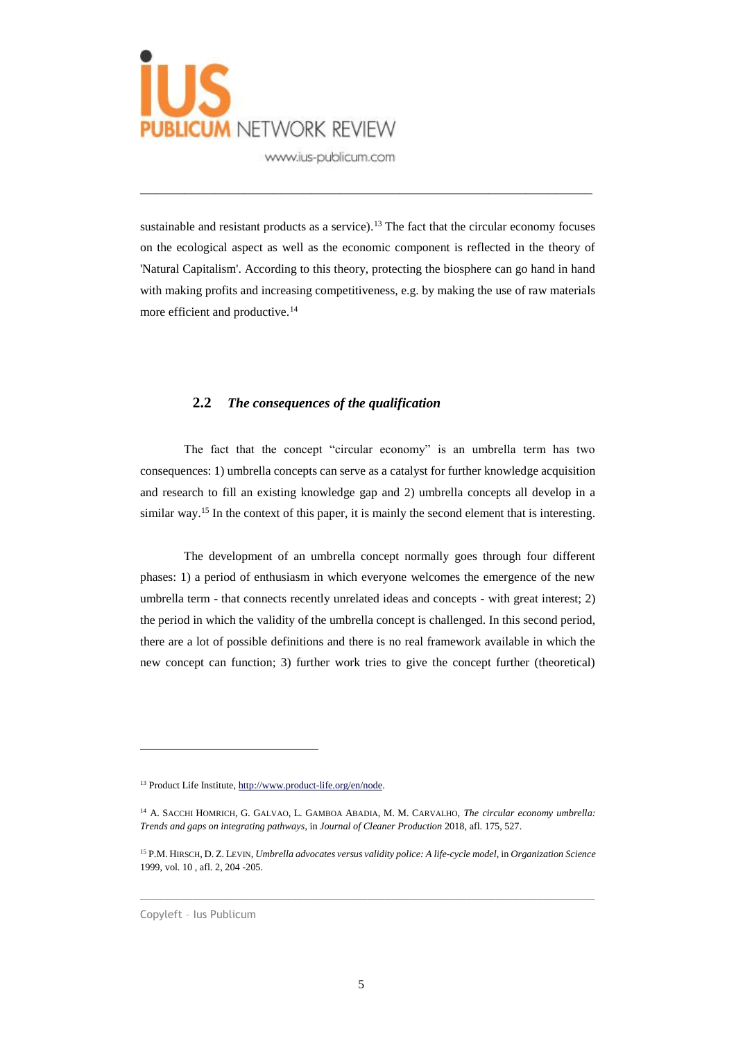

sustainable and resistant products as a service).<sup>13</sup> The fact that the circular economy focuses on the ecological aspect as well as the economic component is reflected in the theory of 'Natural Capitalism'. According to this theory, protecting the biosphere can go hand in hand with making profits and increasing competitiveness, e.g. by making the use of raw materials more efficient and productive.<sup>14</sup>

\_\_\_\_\_\_\_\_\_\_\_\_\_\_\_\_\_\_\_\_\_\_\_\_\_\_\_\_\_\_\_\_\_\_\_\_\_\_\_\_\_\_\_\_\_\_\_\_\_\_\_\_\_\_\_\_\_\_\_\_\_

### **2.2** *The consequences of the qualification*

The fact that the concept "circular economy" is an umbrella term has two consequences: 1) umbrella concepts can serve as a catalyst for further knowledge acquisition and research to fill an existing knowledge gap and 2) umbrella concepts all develop in a similar way.<sup>15</sup> In the context of this paper, it is mainly the second element that is interesting.

The development of an umbrella concept normally goes through four different phases: 1) a period of enthusiasm in which everyone welcomes the emergence of the new umbrella term - that connects recently unrelated ideas and concepts - with great interest; 2) the period in which the validity of the umbrella concept is challenged. In this second period, there are a lot of possible definitions and there is no real framework available in which the new concept can function; 3) further work tries to give the concept further (theoretical)

 $\_$  , and the set of the set of the set of the set of the set of the set of the set of the set of the set of the set of the set of the set of the set of the set of the set of the set of the set of the set of the set of th

Copyleft – Ius Publicum

<sup>13</sup> Product Life Institute, [http://www.product-life.org/en/node.](http://www.product-life.org/en/node) 

<sup>14</sup> A. SACCHI HOMRICH, G. GALVAO, L. GAMBOA ABADIA, M. M. CARVALHO, *The circular economy umbrella: Trends and gaps on integrating pathways*, in *Journal of Cleaner Production* 2018, afl. 175, 527.

<sup>15</sup> P.M. HIRSCH, D. Z. LEVIN, *Umbrella advocates versus validity police: A life-cycle model*, in *Organization Science*  1999, vol. 10 , afl. 2, 204 -205.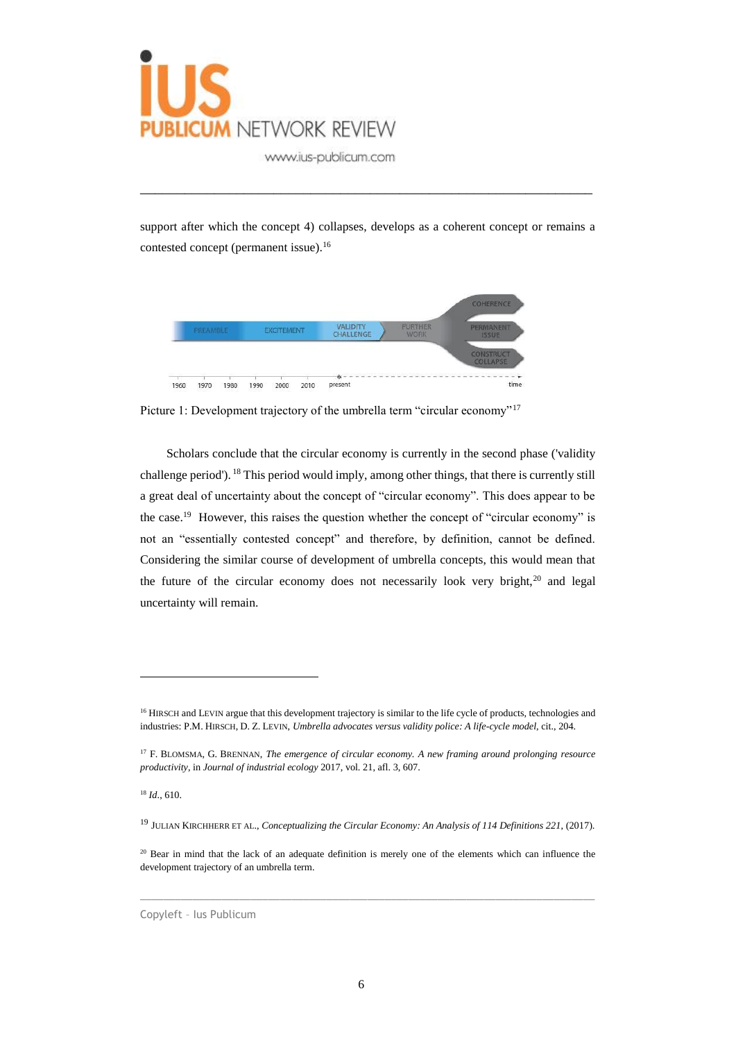

support after which the concept 4) collapses, develops as a coherent concept or remains a contested concept (permanent issue).<sup>16</sup>

\_\_\_\_\_\_\_\_\_\_\_\_\_\_\_\_\_\_\_\_\_\_\_\_\_\_\_\_\_\_\_\_\_\_\_\_\_\_\_\_\_\_\_\_\_\_\_\_\_\_\_\_\_\_\_\_\_\_\_\_\_



Picture 1: Development trajectory of the umbrella term "circular economy"<sup>17</sup>

Scholars conclude that the circular economy is currently in the second phase ('validity challenge period'). <sup>18</sup> This period would imply, among other things, that there is currently still a great deal of uncertainty about the concept of "circular economy". This does appear to be the case.<sup>19</sup> However, this raises the question whether the concept of "circular economy" is not an "essentially contested concept" and therefore, by definition, cannot be defined. Considering the similar course of development of umbrella concepts, this would mean that the future of the circular economy does not necessarily look very bright, $20$  and legal uncertainty will remain.

 $\overline{a}$ 

 $\_$  , and the set of the set of the set of the set of the set of the set of the set of the set of the set of the set of the set of the set of the set of the set of the set of the set of the set of the set of the set of th

Copyleft – Ius Publicum

<sup>&</sup>lt;sup>16</sup> HIRSCH and LEVIN argue that this development trajectory is similar to the life cycle of products, technologies and industries: P.M. HIRSCH, D. Z. LEVIN, *Umbrella advocates versus validity police: A life-cycle model*, cit., 204.

<sup>17</sup> F. BLOMSMA, G. BRENNAN, *The emergence of circular economy. A new framing around prolonging resource productivity*, in *Journal of industrial ecology* 2017, vol. 21, afl. 3, 607.

<sup>18</sup> *Id*., 610.

<sup>19</sup> JULIAN KIRCHHERR ET AL., *Conceptualizing the Circular Economy: An Analysis of 114 Definitions 221*, (2017).

<sup>&</sup>lt;sup>20</sup> Bear in mind that the lack of an adequate definition is merely one of the elements which can influence the development trajectory of an umbrella term.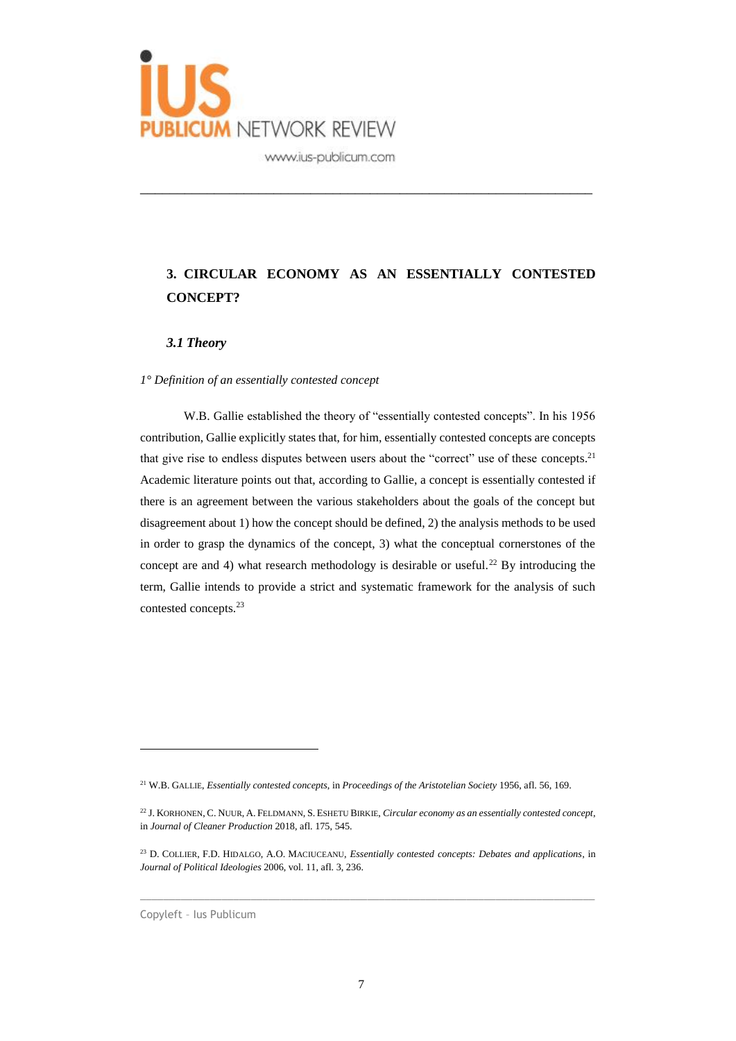

# **3. CIRCULAR ECONOMY AS AN ESSENTIALLY CONTESTED CONCEPT?**

\_\_\_\_\_\_\_\_\_\_\_\_\_\_\_\_\_\_\_\_\_\_\_\_\_\_\_\_\_\_\_\_\_\_\_\_\_\_\_\_\_\_\_\_\_\_\_\_\_\_\_\_\_\_\_\_\_\_\_\_\_

#### *3.1 Theory*

#### *1° Definition of an essentially contested concept*

W.B. Gallie established the theory of "essentially contested concepts". In his 1956 contribution, Gallie explicitly states that, for him, essentially contested concepts are concepts that give rise to endless disputes between users about the "correct" use of these concepts.<sup>21</sup> Academic literature points out that, according to Gallie, a concept is essentially contested if there is an agreement between the various stakeholders about the goals of the concept but disagreement about 1) how the concept should be defined, 2) the analysis methods to be used in order to grasp the dynamics of the concept, 3) what the conceptual cornerstones of the concept are and 4) what research methodology is desirable or useful.<sup>22</sup> By introducing the term, Gallie intends to provide a strict and systematic framework for the analysis of such contested concepts.<sup>23</sup>

 $\_$  , and the set of the set of the set of the set of the set of the set of the set of the set of the set of the set of the set of the set of the set of the set of the set of the set of the set of the set of the set of th

Copyleft – Ius Publicum

<sup>21</sup> W.B. GALLIE, *Essentially contested concepts*, in *Proceedings of the Aristotelian Society* 1956, afl. 56, 169.

<sup>22</sup> J. KORHONEN, C. NUUR, A. FELDMANN, S. ESHETU BIRKIE, *Circular economy as an essentially contested concept*, in *Journal of Cleaner Production* 2018, afl. 175, 545.

<sup>23</sup> D. COLLIER, F.D. HIDALGO, A.O. MACIUCEANU, *Essentially contested concepts: Debates and applications*, in *Journal of Political Ideologies* 2006, vol. 11, afl. 3, 236.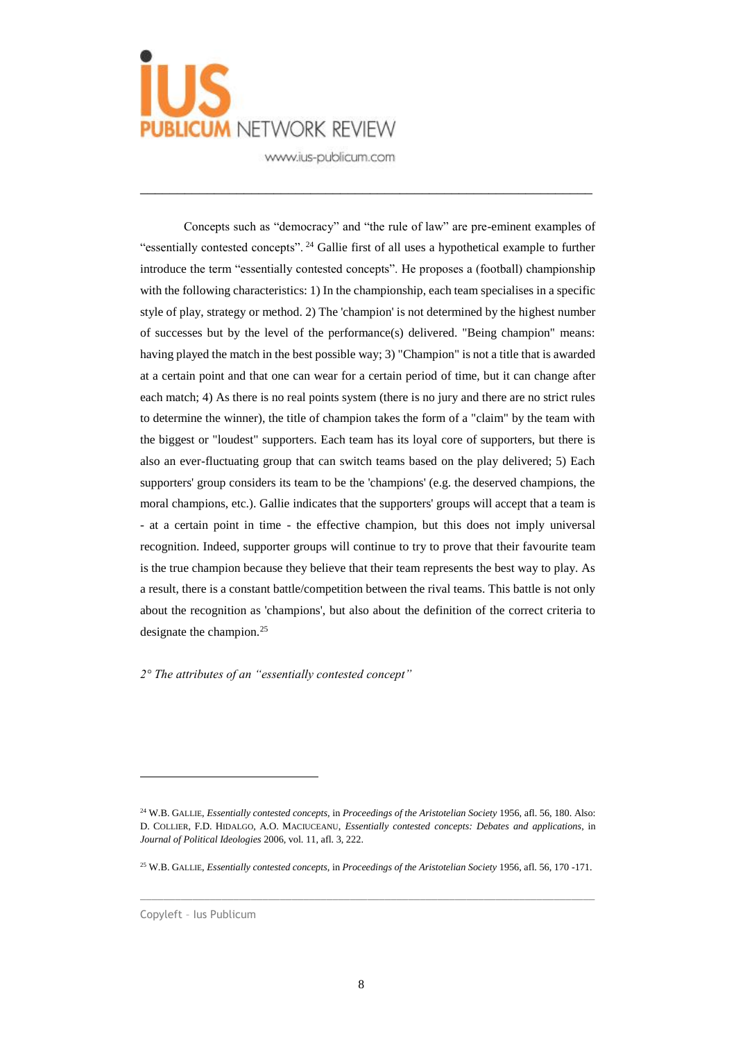

\_\_\_\_\_\_\_\_\_\_\_\_\_\_\_\_\_\_\_\_\_\_\_\_\_\_\_\_\_\_\_\_\_\_\_\_\_\_\_\_\_\_\_\_\_\_\_\_\_\_\_\_\_\_\_\_\_\_\_\_\_

Concepts such as "democracy" and "the rule of law" are pre-eminent examples of "essentially contested concepts". <sup>24</sup> Gallie first of all uses a hypothetical example to further introduce the term "essentially contested concepts". He proposes a (football) championship with the following characteristics: 1) In the championship, each team specialises in a specific style of play, strategy or method. 2) The 'champion' is not determined by the highest number of successes but by the level of the performance(s) delivered. "Being champion" means: having played the match in the best possible way; 3) "Champion" is not a title that is awarded at a certain point and that one can wear for a certain period of time, but it can change after each match; 4) As there is no real points system (there is no jury and there are no strict rules to determine the winner), the title of champion takes the form of a "claim" by the team with the biggest or "loudest" supporters. Each team has its loyal core of supporters, but there is also an ever-fluctuating group that can switch teams based on the play delivered; 5) Each supporters' group considers its team to be the 'champions' (e.g. the deserved champions, the moral champions, etc.). Gallie indicates that the supporters' groups will accept that a team is - at a certain point in time - the effective champion, but this does not imply universal recognition. Indeed, supporter groups will continue to try to prove that their favourite team is the true champion because they believe that their team represents the best way to play. As a result, there is a constant battle/competition between the rival teams. This battle is not only about the recognition as 'champions', but also about the definition of the correct criteria to designate the champion.<sup>25</sup>

*2° The attributes of an "essentially contested concept"*

 $\_$  , and the set of the set of the set of the set of the set of the set of the set of the set of the set of the set of the set of the set of the set of the set of the set of the set of the set of the set of the set of th

<sup>24</sup> W.B. GALLIE, *Essentially contested concepts*, in *Proceedings of the Aristotelian Society* 1956, afl. 56, 180. Also: D. COLLIER, F.D. HIDALGO, A.O. MACIUCEANU, *Essentially contested concepts: Debates and applications*, in *Journal of Political Ideologies* 2006, vol. 11, afl. 3, 222.

<sup>25</sup> W.B. GALLIE, *Essentially contested concepts*, in *Proceedings of the Aristotelian Society* 1956, afl. 56, 170 -171.

Copyleft – Ius Publicum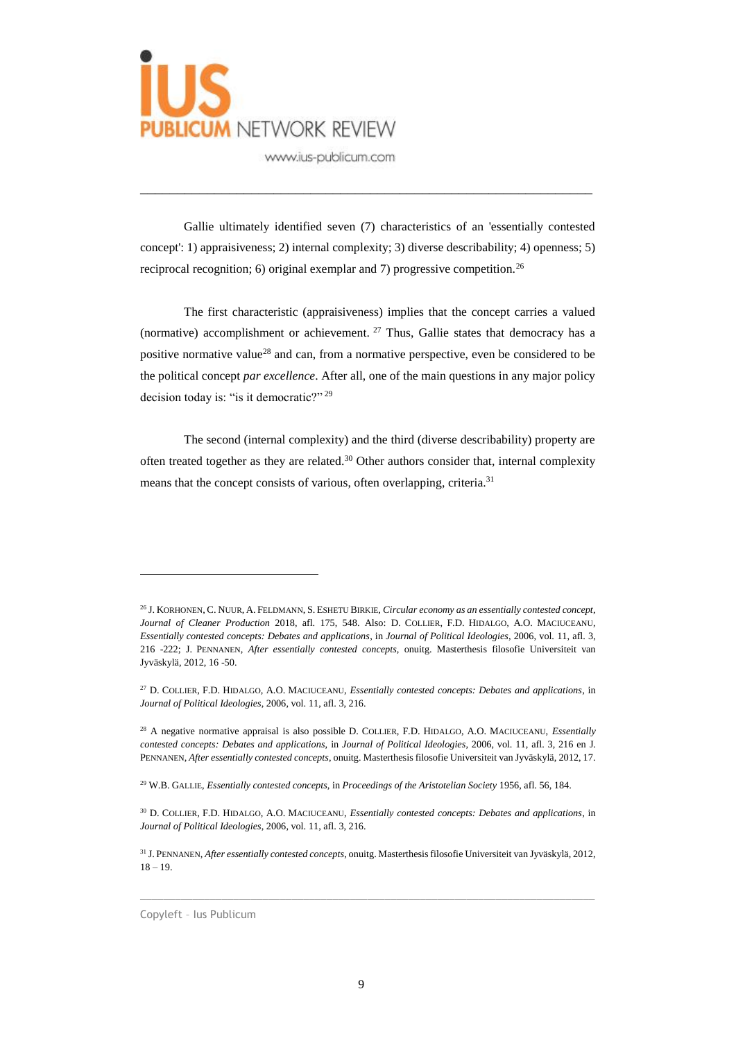

Gallie ultimately identified seven (7) characteristics of an 'essentially contested concept': 1) appraisiveness; 2) internal complexity; 3) diverse describability; 4) openness; 5) reciprocal recognition; 6) original exemplar and 7) progressive competition.<sup>26</sup>

\_\_\_\_\_\_\_\_\_\_\_\_\_\_\_\_\_\_\_\_\_\_\_\_\_\_\_\_\_\_\_\_\_\_\_\_\_\_\_\_\_\_\_\_\_\_\_\_\_\_\_\_\_\_\_\_\_\_\_\_\_

The first characteristic (appraisiveness) implies that the concept carries a valued (normative) accomplishment or achievement.  $27$  Thus, Gallie states that democracy has a positive normative value<sup>28</sup> and can, from a normative perspective, even be considered to be the political concept *par excellence*. After all, one of the main questions in any major policy decision today is: "is it democratic?"<sup>29</sup>

The second (internal complexity) and the third (diverse describability) property are often treated together as they are related.<sup>30</sup> Other authors consider that, internal complexity means that the concept consists of various, often overlapping, criteria.<sup>31</sup>

 $\_$  , and the set of the set of the set of the set of the set of the set of the set of the set of the set of the set of the set of the set of the set of the set of the set of the set of the set of the set of the set of th

Copyleft – Ius Publicum

<sup>26</sup> J. KORHONEN, C. NUUR, A. FELDMANN, S. ESHETU BIRKIE, *Circular economy as an essentially contested concept*, *Journal of Cleaner Production* 2018, afl. 175, 548. Also: D. COLLIER, F.D. HIDALGO, A.O. MACIUCEANU, *Essentially contested concepts: Debates and applications*, in *Journal of Political Ideologies*, 2006, vol. 11, afl. 3, 216 -222; J. PENNANEN, *After essentially contested concepts*, onuitg. Masterthesis filosofie Universiteit van Jyväskylä, 2012, 16 -50.

<sup>27</sup> D. COLLIER, F.D. HIDALGO, A.O. MACIUCEANU, *Essentially contested concepts: Debates and applications*, in *Journal of Political Ideologies*, 2006, vol. 11, afl. 3, 216.

<sup>28</sup> A negative normative appraisal is also possible D. COLLIER, F.D. HIDALGO, A.O. MACIUCEANU, *Essentially contested concepts: Debates and applications*, in *Journal of Political Ideologies*, 2006, vol. 11, afl. 3, 216 en J. PENNANEN, *After essentially contested concepts*, onuitg. Masterthesis filosofie Universiteit van Jyväskylä, 2012, 17.

<sup>29</sup> W.B. GALLIE, *Essentially contested concepts*, in *Proceedings of the Aristotelian Society* 1956, afl. 56, 184.

<sup>30</sup> D. COLLIER, F.D. HIDALGO, A.O. MACIUCEANU, *Essentially contested concepts: Debates and applications*, in *Journal of Political Ideologies*, 2006, vol. 11, afl. 3, 216.

<sup>31</sup> J. PENNANEN, *After essentially contested concepts*, onuitg. Masterthesis filosofie Universiteit van Jyväskylä, 2012,  $18 - 19.$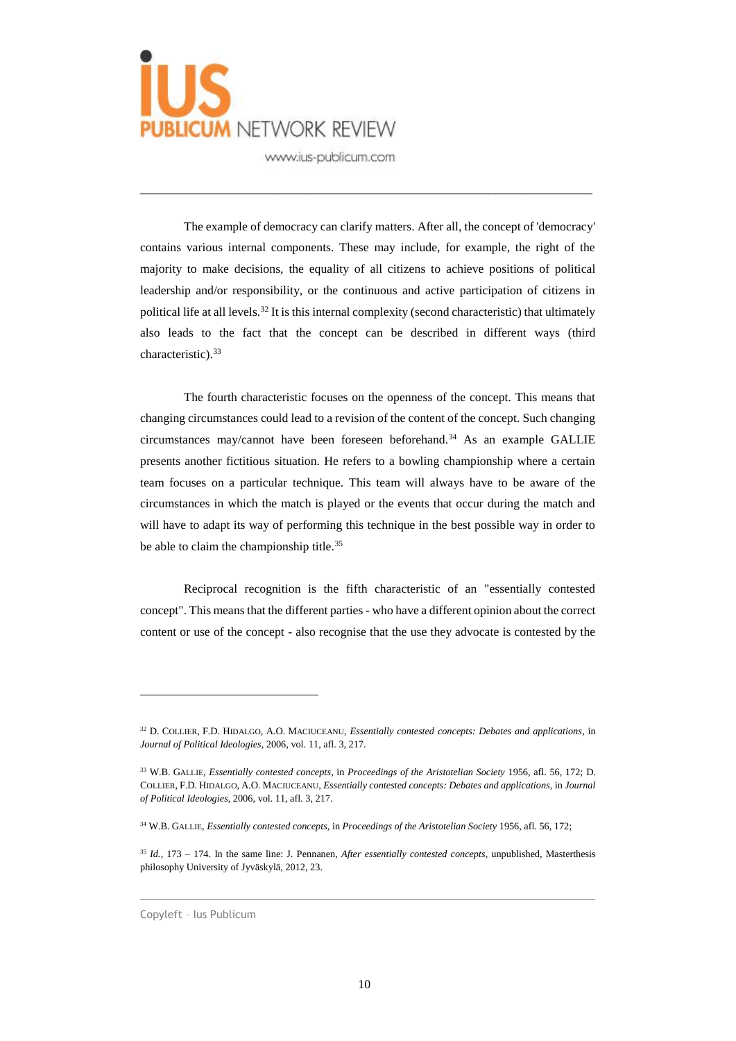

The example of democracy can clarify matters. After all, the concept of 'democracy' contains various internal components. These may include, for example, the right of the majority to make decisions, the equality of all citizens to achieve positions of political leadership and/or responsibility, or the continuous and active participation of citizens in political life at all levels.<sup>32</sup> It is this internal complexity (second characteristic) that ultimately also leads to the fact that the concept can be described in different ways (third characteristic).<sup>33</sup>

\_\_\_\_\_\_\_\_\_\_\_\_\_\_\_\_\_\_\_\_\_\_\_\_\_\_\_\_\_\_\_\_\_\_\_\_\_\_\_\_\_\_\_\_\_\_\_\_\_\_\_\_\_\_\_\_\_\_\_\_\_

The fourth characteristic focuses on the openness of the concept. This means that changing circumstances could lead to a revision of the content of the concept. Such changing circumstances may/cannot have been foreseen beforehand.<sup>34</sup> As an example GALLIE presents another fictitious situation. He refers to a bowling championship where a certain team focuses on a particular technique. This team will always have to be aware of the circumstances in which the match is played or the events that occur during the match and will have to adapt its way of performing this technique in the best possible way in order to be able to claim the championship title.<sup>35</sup>

Reciprocal recognition is the fifth characteristic of an "essentially contested concept". This means that the different parties - who have a different opinion about the correct content or use of the concept - also recognise that the use they advocate is contested by the

 $\_$  , and the set of the set of the set of the set of the set of the set of the set of the set of the set of the set of the set of the set of the set of the set of the set of the set of the set of the set of the set of th

Copyleft – Ius Publicum

<sup>32</sup> D. COLLIER, F.D. HIDALGO, A.O. MACIUCEANU, *Essentially contested concepts: Debates and applications*, in *Journal of Political Ideologies*, 2006, vol. 11, afl. 3, 217.

<sup>33</sup> W.B. GALLIE, *Essentially contested concepts*, in *Proceedings of the Aristotelian Society* 1956, afl. 56, 172; D. COLLIER, F.D. HIDALGO, A.O. MACIUCEANU, *Essentially contested concepts: Debates and applications*, in *Journal of Political Ideologies*, 2006, vol. 11, afl. 3, 217.

<sup>34</sup> W.B. GALLIE, *Essentially contested concepts*, in *Proceedings of the Aristotelian Society* 1956, afl. 56, 172;

<sup>35</sup> *Id.,* 173 – 174. In the same line: J. Pennanen, *After essentially contested concepts*, unpublished, Masterthesis philosophy University of Jyväskylä, 2012, 23.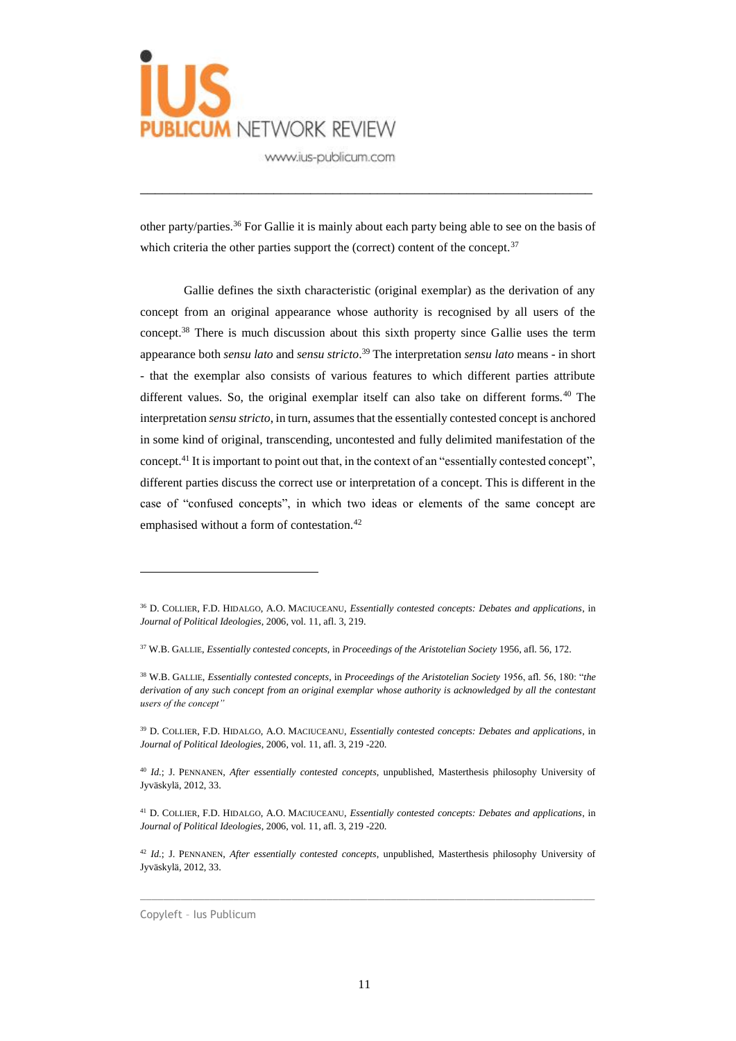

other party/parties.<sup>36</sup> For Gallie it is mainly about each party being able to see on the basis of which criteria the other parties support the (correct) content of the concept. $37$ 

\_\_\_\_\_\_\_\_\_\_\_\_\_\_\_\_\_\_\_\_\_\_\_\_\_\_\_\_\_\_\_\_\_\_\_\_\_\_\_\_\_\_\_\_\_\_\_\_\_\_\_\_\_\_\_\_\_\_\_\_\_

Gallie defines the sixth characteristic (original exemplar) as the derivation of any concept from an original appearance whose authority is recognised by all users of the concept.<sup>38</sup> There is much discussion about this sixth property since Gallie uses the term appearance both *sensu lato* and *sensu stricto*. <sup>39</sup> The interpretation *sensu lato* means - in short - that the exemplar also consists of various features to which different parties attribute different values. So, the original exemplar itself can also take on different forms.<sup>40</sup> The interpretation *sensu stricto*, in turn, assumes that the essentially contested concept is anchored in some kind of original, transcending, uncontested and fully delimited manifestation of the concept.<sup>41</sup> It is important to point out that, in the context of an "essentially contested concept", different parties discuss the correct use or interpretation of a concept. This is different in the case of "confused concepts", in which two ideas or elements of the same concept are emphasised without a form of contestation.<sup>42</sup>

 $\_$  , and the set of the set of the set of the set of the set of the set of the set of the set of the set of the set of the set of the set of the set of the set of the set of the set of the set of the set of the set of th

<sup>36</sup> D. COLLIER, F.D. HIDALGO, A.O. MACIUCEANU, *Essentially contested concepts: Debates and applications*, in *Journal of Political Ideologies*, 2006, vol. 11, afl. 3, 219.

<sup>37</sup> W.B. GALLIE, *Essentially contested concepts*, in *Proceedings of the Aristotelian Society* 1956, afl. 56, 172.

<sup>38</sup> W.B. GALLIE, *Essentially contested concepts*, in *Proceedings of the Aristotelian Society* 1956, afl. 56, 180: "*the derivation of any such concept from an original exemplar whose authority is acknowledged by all the contestant users of the concept"*

<sup>39</sup> D. COLLIER, F.D. HIDALGO, A.O. MACIUCEANU, *Essentially contested concepts: Debates and applications*, in *Journal of Political Ideologies*, 2006, vol. 11, afl. 3, 219 -220.

<sup>40</sup> *Id.*; J. PENNANEN, *After essentially contested concepts*, unpublished, Masterthesis philosophy University of Jyväskylä, 2012, 33.

<sup>41</sup> D. COLLIER, F.D. HIDALGO, A.O. MACIUCEANU, *Essentially contested concepts: Debates and applications*, in *Journal of Political Ideologies*, 2006, vol. 11, afl. 3, 219 -220.

<sup>42</sup> *Id.*; J. PENNANEN, *After essentially contested concepts*, unpublished, Masterthesis philosophy University of Jyväskylä, 2012, 33.

Copyleft – Ius Publicum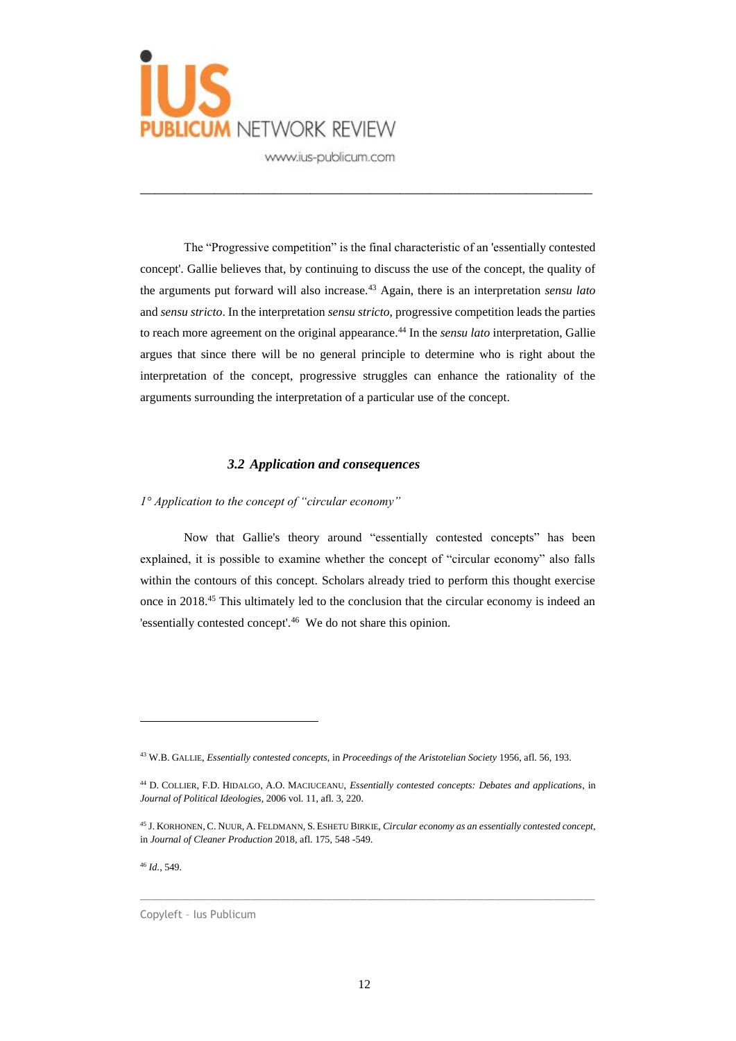

The "Progressive competition" is the final characteristic of an 'essentially contested concept'. Gallie believes that, by continuing to discuss the use of the concept, the quality of the arguments put forward will also increase.<sup>43</sup> Again, there is an interpretation *sensu lato* and *sensu stricto*. In the interpretation *sensu stricto*, progressive competition leads the parties to reach more agreement on the original appearance.<sup>44</sup> In the *sensu lato* interpretation, Gallie argues that since there will be no general principle to determine who is right about the interpretation of the concept, progressive struggles can enhance the rationality of the arguments surrounding the interpretation of a particular use of the concept.

\_\_\_\_\_\_\_\_\_\_\_\_\_\_\_\_\_\_\_\_\_\_\_\_\_\_\_\_\_\_\_\_\_\_\_\_\_\_\_\_\_\_\_\_\_\_\_\_\_\_\_\_\_\_\_\_\_\_\_\_\_

#### *3.2 Application and consequences*

*1° Application to the concept of "circular economy"*

Now that Gallie's theory around "essentially contested concepts" has been explained, it is possible to examine whether the concept of "circular economy" also falls within the contours of this concept. Scholars already tried to perform this thought exercise once in 2018.<sup>45</sup> This ultimately led to the conclusion that the circular economy is indeed an 'essentially contested concept'.<sup>46</sup> We do not share this opinion.

 $\_$  , and the set of the set of the set of the set of the set of the set of the set of the set of the set of the set of the set of the set of the set of the set of the set of the set of the set of the set of the set of th

<sup>46</sup> *Id.*, 549.

 $\overline{a}$ 

Copyleft – Ius Publicum

<sup>43</sup> W.B. GALLIE, *Essentially contested concepts*, in *Proceedings of the Aristotelian Society* 1956, afl. 56, 193.

<sup>44</sup> D. COLLIER, F.D. HIDALGO, A.O. MACIUCEANU, *Essentially contested concepts: Debates and applications*, in *Journal of Political Ideologies*, 2006 vol. 11, afl. 3, 220.

<sup>45</sup> J. KORHONEN, C. NUUR, A. FELDMANN, S. ESHETU BIRKIE, *Circular economy as an essentially contested concept*, in *Journal of Cleaner Production* 2018, afl. 175, 548 -549.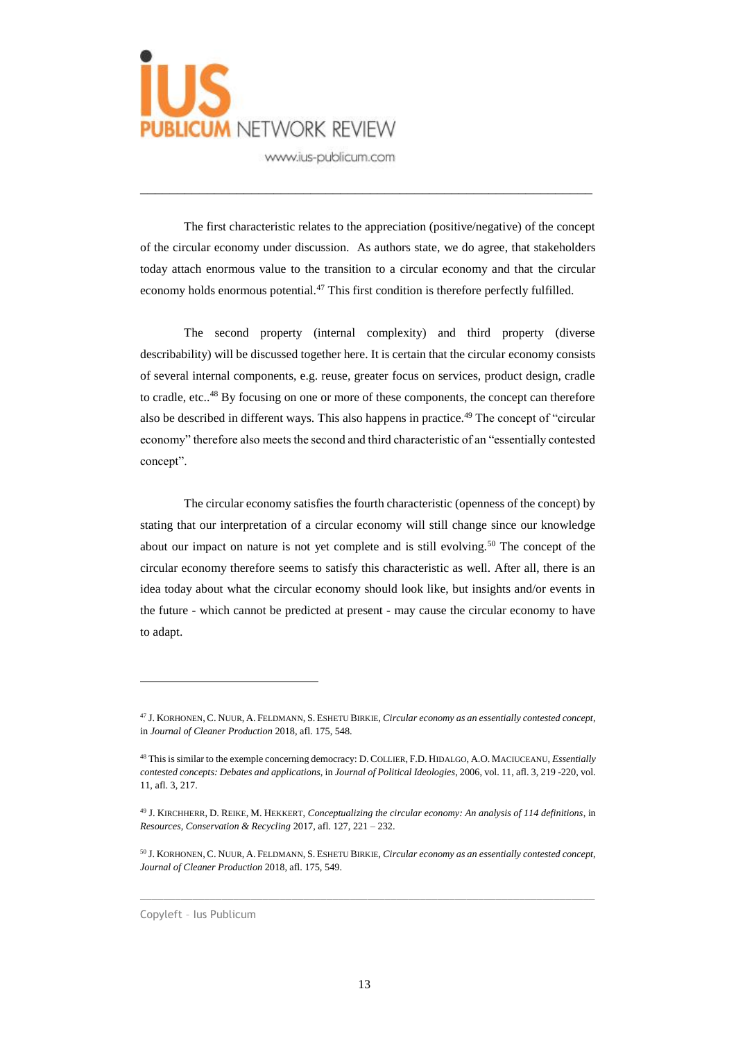

The first characteristic relates to the appreciation (positive/negative) of the concept of the circular economy under discussion. As authors state, we do agree, that stakeholders today attach enormous value to the transition to a circular economy and that the circular economy holds enormous potential.<sup>47</sup> This first condition is therefore perfectly fulfilled.

\_\_\_\_\_\_\_\_\_\_\_\_\_\_\_\_\_\_\_\_\_\_\_\_\_\_\_\_\_\_\_\_\_\_\_\_\_\_\_\_\_\_\_\_\_\_\_\_\_\_\_\_\_\_\_\_\_\_\_\_\_

The second property (internal complexity) and third property (diverse describability) will be discussed together here. It is certain that the circular economy consists of several internal components, e.g. reuse, greater focus on services, product design, cradle to cradle, etc..<sup>48</sup> By focusing on one or more of these components, the concept can therefore also be described in different ways. This also happens in practice.<sup>49</sup> The concept of "circular economy" therefore also meets the second and third characteristic of an "essentially contested concept".

The circular economy satisfies the fourth characteristic (openness of the concept) by stating that our interpretation of a circular economy will still change since our knowledge about our impact on nature is not yet complete and is still evolving.<sup>50</sup> The concept of the circular economy therefore seems to satisfy this characteristic as well. After all, there is an idea today about what the circular economy should look like, but insights and/or events in the future - which cannot be predicted at present - may cause the circular economy to have to adapt.

 $\_$  , and the set of the set of the set of the set of the set of the set of the set of the set of the set of the set of the set of the set of the set of the set of the set of the set of the set of the set of the set of th

Copyleft – Ius Publicum

<sup>47</sup> J. KORHONEN, C. NUUR, A. FELDMANN, S. ESHETU BIRKIE, *Circular economy as an essentially contested concept*, in *Journal of Cleaner Production* 2018, afl. 175, 548.

<sup>48</sup> This is similar to the exemple concerning democracy: D. COLLIER, F.D. HIDALGO, A.O. MACIUCEANU, *Essentially contested concepts: Debates and applications*, in *Journal of Political Ideologies*, 2006, vol. 11, afl. 3, 219 -220, vol. 11, afl. 3, 217.

<sup>49</sup> J. KIRCHHERR, D. REIKE, M. HEKKERT, *Conceptualizing the circular economy: An analysis of 114 definitions*, in *Resources, Conservation & Recycling* 2017, afl. 127, 221 – 232.

<sup>50</sup> J. KORHONEN, C. NUUR, A. FELDMANN, S. ESHETU BIRKIE, *Circular economy as an essentially contested concept*, *Journal of Cleaner Production* 2018, afl. 175, 549.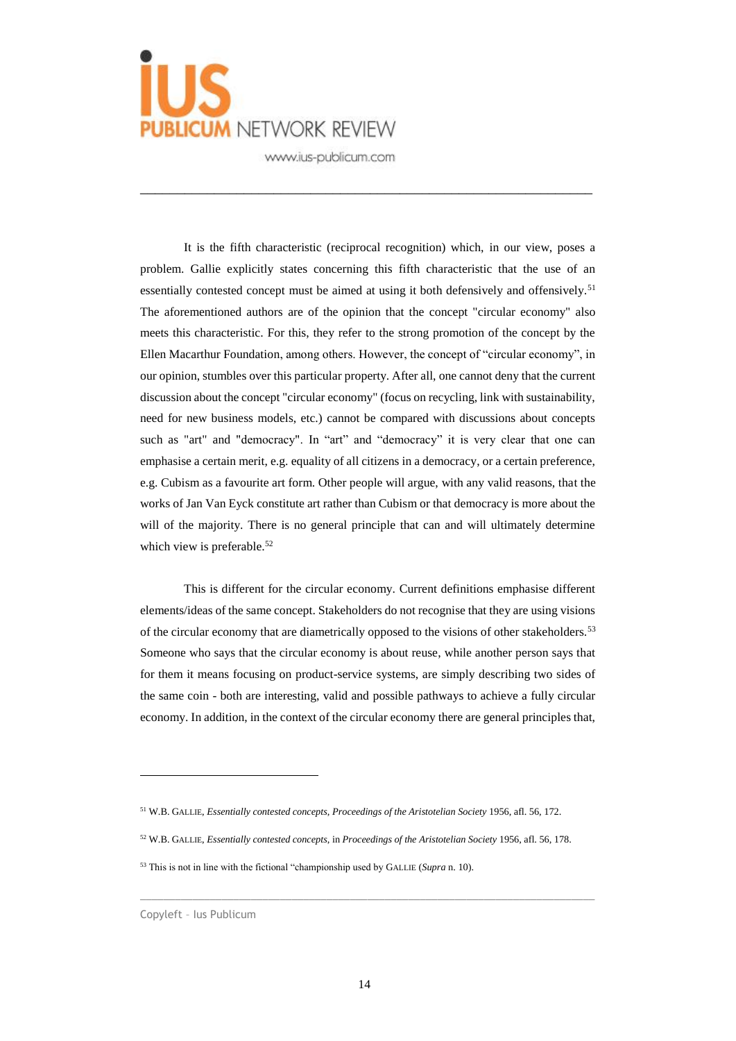

\_\_\_\_\_\_\_\_\_\_\_\_\_\_\_\_\_\_\_\_\_\_\_\_\_\_\_\_\_\_\_\_\_\_\_\_\_\_\_\_\_\_\_\_\_\_\_\_\_\_\_\_\_\_\_\_\_\_\_\_\_

It is the fifth characteristic (reciprocal recognition) which, in our view, poses a problem. Gallie explicitly states concerning this fifth characteristic that the use of an essentially contested concept must be aimed at using it both defensively and offensively.<sup>51</sup> The aforementioned authors are of the opinion that the concept "circular economy" also meets this characteristic. For this, they refer to the strong promotion of the concept by the Ellen Macarthur Foundation, among others. However, the concept of "circular economy", in our opinion, stumbles over this particular property. After all, one cannot deny that the current discussion about the concept "circular economy" (focus on recycling, link with sustainability, need for new business models, etc.) cannot be compared with discussions about concepts such as "art" and "democracy". In "art" and "democracy" it is very clear that one can emphasise a certain merit, e.g. equality of all citizens in a democracy, or a certain preference, e.g. Cubism as a favourite art form. Other people will argue, with any valid reasons, that the works of Jan Van Eyck constitute art rather than Cubism or that democracy is more about the will of the majority. There is no general principle that can and will ultimately determine which view is preferable.<sup>52</sup>

This is different for the circular economy. Current definitions emphasise different elements/ideas of the same concept. Stakeholders do not recognise that they are using visions of the circular economy that are diametrically opposed to the visions of other stakeholders.<sup>53</sup> Someone who says that the circular economy is about reuse, while another person says that for them it means focusing on product-service systems, are simply describing two sides of the same coin - both are interesting, valid and possible pathways to achieve a fully circular economy. In addition, in the context of the circular economy there are general principles that,

- <sup>52</sup> W.B. GALLIE, *Essentially contested concepts*, in *Proceedings of the Aristotelian Society* 1956, afl. 56, 178.
- <sup>53</sup> This is not in line with the fictional "championship used by GALLIE (*Supra* n. 10).

 $\overline{a}$ 

 $\_$  , and the set of the set of the set of the set of the set of the set of the set of the set of the set of the set of the set of the set of the set of the set of the set of the set of the set of the set of the set of th

<sup>51</sup> W.B. GALLIE, *Essentially contested concepts*, *Proceedings of the Aristotelian Society* 1956, afl. 56, 172.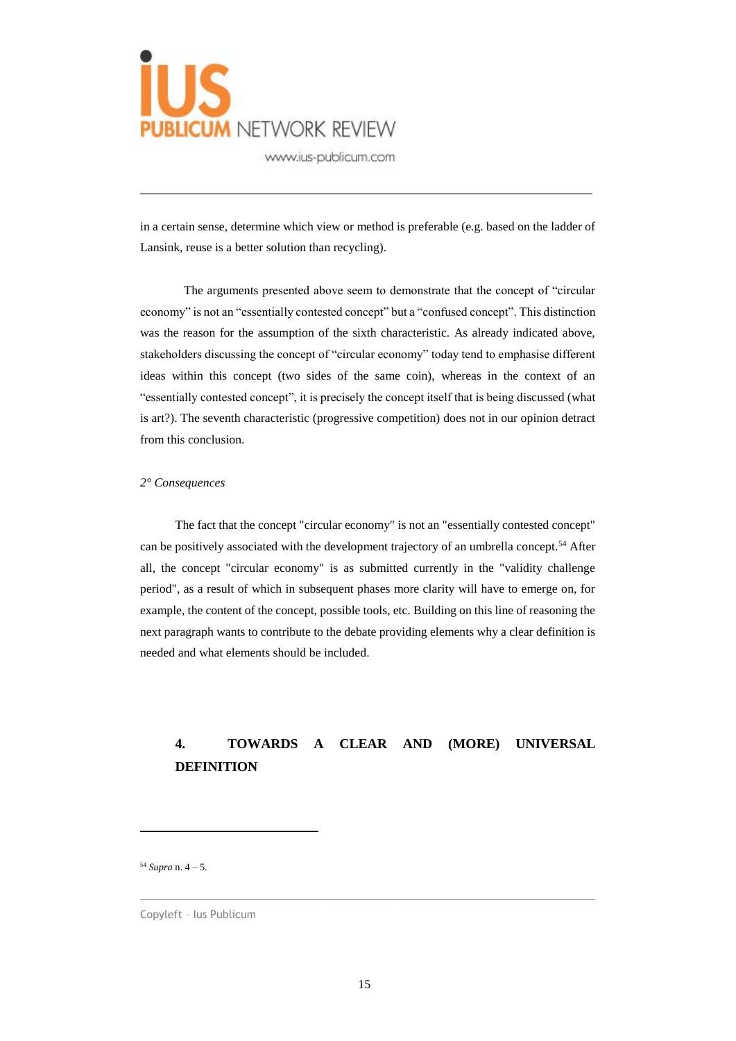

in a certain sense, determine which view or method is preferable (e.g. based on the ladder of Lansink, reuse is a better solution than recycling).

\_\_\_\_\_\_\_\_\_\_\_\_\_\_\_\_\_\_\_\_\_\_\_\_\_\_\_\_\_\_\_\_\_\_\_\_\_\_\_\_\_\_\_\_\_\_\_\_\_\_\_\_\_\_\_\_\_\_\_\_\_

The arguments presented above seem to demonstrate that the concept of "circular economy" is not an "essentially contested concept" but a "confused concept". This distinction was the reason for the assumption of the sixth characteristic. As already indicated above, stakeholders discussing the concept of "circular economy" today tend to emphasise different ideas within this concept (two sides of the same coin), whereas in the context of an "essentially contested concept", it is precisely the concept itself that is being discussed (what is art?). The seventh characteristic (progressive competition) does not in our opinion detract from this conclusion.

#### *2° Consequences*

The fact that the concept "circular economy" is not an "essentially contested concept" can be positively associated with the development trajectory of an umbrella concept.<sup>54</sup> After all, the concept "circular economy" is as submitted currently in the "validity challenge period", as a result of which in subsequent phases more clarity will have to emerge on, for example, the content of the concept, possible tools, etc. Building on this line of reasoning the next paragraph wants to contribute to the debate providing elements why a clear definition is needed and what elements should be included.

# **4. TOWARDS A CLEAR AND (MORE) UNIVERSAL DEFINITION**

<sup>54</sup> *Supra* n. 4 – 5.

 $\overline{a}$ 

Copyleft – Ius Publicum

 $\_$  , and the set of the set of the set of the set of the set of the set of the set of the set of the set of the set of the set of the set of the set of the set of the set of the set of the set of the set of the set of th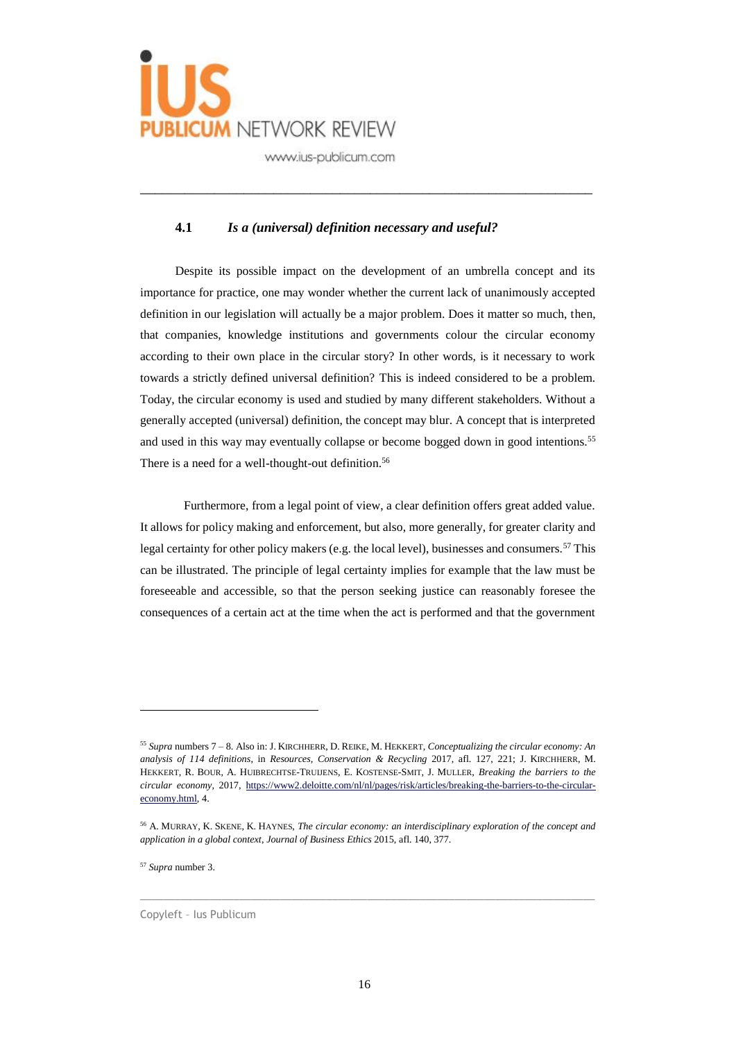

## **4.1** *Is a (universal) definition necessary and useful?*

\_\_\_\_\_\_\_\_\_\_\_\_\_\_\_\_\_\_\_\_\_\_\_\_\_\_\_\_\_\_\_\_\_\_\_\_\_\_\_\_\_\_\_\_\_\_\_\_\_\_\_\_\_\_\_\_\_\_\_\_\_

Despite its possible impact on the development of an umbrella concept and its importance for practice, one may wonder whether the current lack of unanimously accepted definition in our legislation will actually be a major problem. Does it matter so much, then, that companies, knowledge institutions and governments colour the circular economy according to their own place in the circular story? In other words, is it necessary to work towards a strictly defined universal definition? This is indeed considered to be a problem. Today, the circular economy is used and studied by many different stakeholders. Without a generally accepted (universal) definition, the concept may blur. A concept that is interpreted and used in this way may eventually collapse or become bogged down in good intentions.<sup>55</sup> There is a need for a well-thought-out definition.<sup>56</sup>

Furthermore, from a legal point of view, a clear definition offers great added value. It allows for policy making and enforcement, but also, more generally, for greater clarity and legal certainty for other policy makers (e.g. the local level), businesses and consumers.<sup>57</sup> This can be illustrated. The principle of legal certainty implies for example that the law must be foreseeable and accessible, so that the person seeking justice can reasonably foresee the consequences of a certain act at the time when the act is performed and that the government

 $\_$  , and the set of the set of the set of the set of the set of the set of the set of the set of the set of the set of the set of the set of the set of the set of the set of the set of the set of the set of the set of th

<sup>57</sup> *Supra* number 3.

 $\overline{a}$ 

Copyleft – Ius Publicum

<sup>55</sup> *Supra* numbers 7 – 8. Also in: J. KIRCHHERR, D. REIKE, M. HEKKERT, *Conceptualizing the circular economy: An analysis of 114 definitions*, in *Resources, Conservation & Recycling* 2017, afl. 127, 221; J. KIRCHHERR, M. HEKKERT, R. BOUR, A. HUIBRECHTSE-TRUIJENS, E. KOSTENSE-SMIT, J. MULLER, *Breaking the barriers to the circular economy*, 2017, [https://www2.deloitte.com/nl/nl/pages/risk/articles/breaking-the-barriers-to-the-circular](https://www2.deloitte.com/nl/nl/pages/risk/articles/breaking-the-barriers-to-the-circular-economy.html)[economy.html,](https://www2.deloitte.com/nl/nl/pages/risk/articles/breaking-the-barriers-to-the-circular-economy.html) 4.

<sup>56</sup> A. MURRAY, K. SKENE, K. HAYNES, *The circular economy: an interdisciplinary exploration of the concept and application in a global context*, *Journal of Business Ethics* 2015, afl. 140, 377.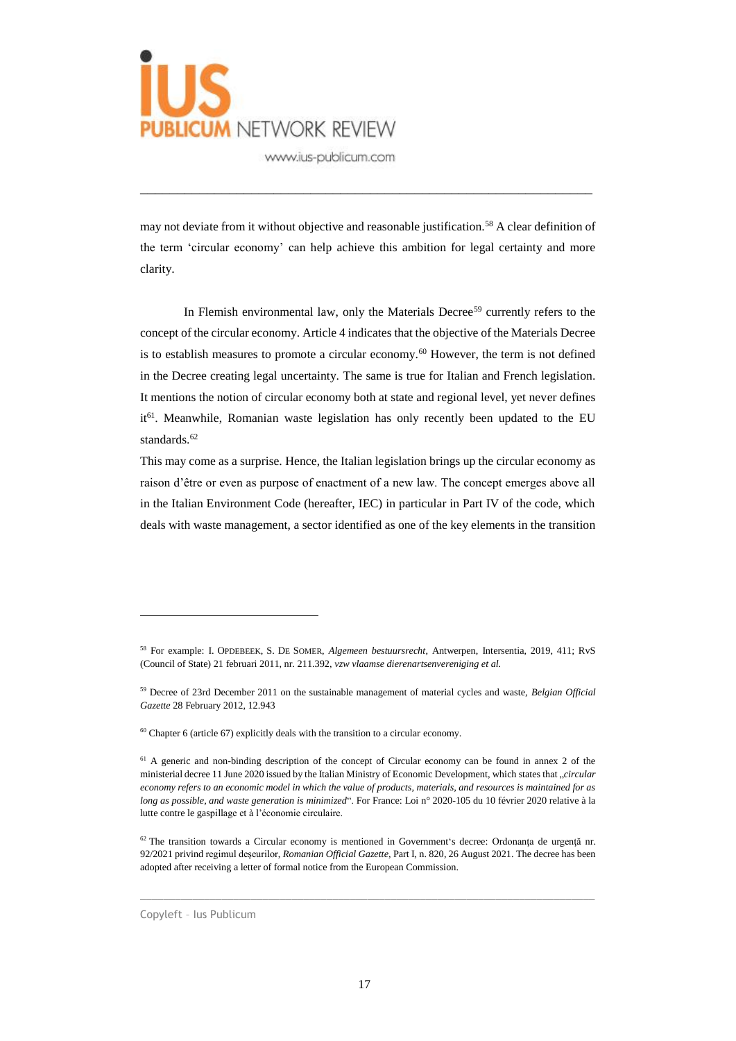

may not deviate from it without objective and reasonable justification.<sup>58</sup> A clear definition of the term 'circular economy' can help achieve this ambition for legal certainty and more clarity.

\_\_\_\_\_\_\_\_\_\_\_\_\_\_\_\_\_\_\_\_\_\_\_\_\_\_\_\_\_\_\_\_\_\_\_\_\_\_\_\_\_\_\_\_\_\_\_\_\_\_\_\_\_\_\_\_\_\_\_\_\_

In Flemish environmental law, only the Materials Decree<sup>59</sup> currently refers to the concept of the circular economy. Article 4 indicates that the objective of the Materials Decree is to establish measures to promote a circular economy.<sup>60</sup> However, the term is not defined in the Decree creating legal uncertainty. The same is true for Italian and French legislation. It mentions the notion of circular economy both at state and regional level, yet never defines it<sup>61</sup>. Meanwhile, Romanian waste legislation has only recently been updated to the EU standards.<sup>62</sup>

This may come as a surprise. Hence, the Italian legislation brings up the circular economy as raison d'être or even as purpose of enactment of a new law. The concept emerges above all in the Italian Environment Code (hereafter, IEC) in particular in Part IV of the code, which deals with waste management, a sector identified as one of the key elements in the transition

 $\_$  , and the set of the set of the set of the set of the set of the set of the set of the set of the set of the set of the set of the set of the set of the set of the set of the set of the set of the set of the set of th

Copyleft – Ius Publicum

<sup>58</sup> For example: I. OPDEBEEK, S. DE SOMER, *Algemeen bestuursrecht*, Antwerpen, Intersentia, 2019, 411; RvS (Council of State) 21 februari 2011, nr. 211.392, *vzw vlaamse dierenartsenvereniging et al.*

<sup>59</sup> Decree of 23rd December 2011 on the sustainable management of material cycles and waste, *Belgian Official Gazette* 28 February 2012, 12.943

 $60$  Chapter 6 (article 67) explicitly deals with the transition to a circular economy.

<sup>&</sup>lt;sup>61</sup> A generic and non-binding description of the concept of Circular economy can be found in annex 2 of the ministerial decree 11 June 2020 issued by the Italian Ministry of Economic Development, which states that "*circular economy refers to an economic model in which the value of products, materials, and resources is maintained for as long as possible, and waste generation is minimized*". For France: Loi n° 2020-105 du 10 février 2020 relative à la lutte contre le gaspillage et à l'économie circulaire.

<sup>62</sup> The transition towards a Circular economy is mentioned in Government's decree: Ordonanţa de urgenţă nr. 92/2021 privind regimul deşeurilor, *Romanian Official Gazette*, Part I, n. 820, 26 August 2021. The decree has been adopted after receiving a letter of formal notice from the European Commission.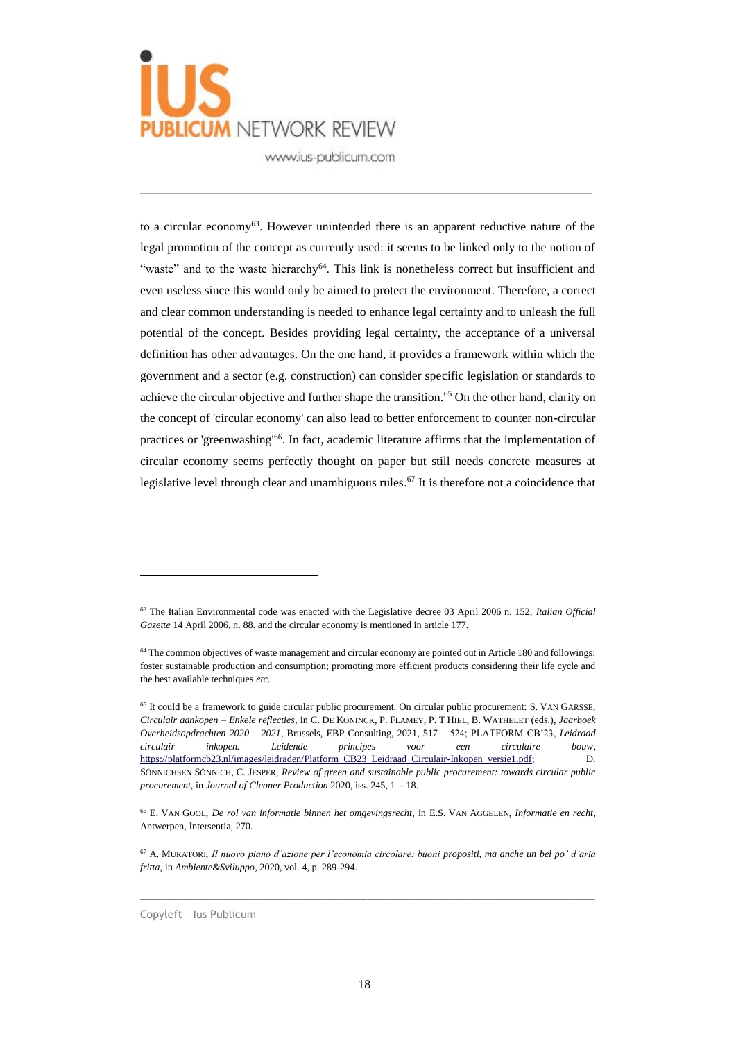

to a circular economy<sup>63</sup>. However unintended there is an apparent reductive nature of the legal promotion of the concept as currently used: it seems to be linked only to the notion of "waste" and to the waste hierarchy<sup>64</sup>. This link is nonetheless correct but insufficient and even useless since this would only be aimed to protect the environment. Therefore, a correct and clear common understanding is needed to enhance legal certainty and to unleash the full potential of the concept. Besides providing legal certainty, the acceptance of a universal definition has other advantages. On the one hand, it provides a framework within which the government and a sector (e.g. construction) can consider specific legislation or standards to achieve the circular objective and further shape the transition.<sup>65</sup> On the other hand, clarity on the concept of 'circular economy' can also lead to better enforcement to counter non-circular practices or 'greenwashing'<sup>66</sup>. In fact, academic literature affirms that the implementation of circular economy seems perfectly thought on paper but still needs concrete measures at legislative level through clear and unambiguous rules.<sup>67</sup> It is therefore not a coincidence that

\_\_\_\_\_\_\_\_\_\_\_\_\_\_\_\_\_\_\_\_\_\_\_\_\_\_\_\_\_\_\_\_\_\_\_\_\_\_\_\_\_\_\_\_\_\_\_\_\_\_\_\_\_\_\_\_\_\_\_\_\_

 $\_$  , and the set of the set of the set of the set of the set of the set of the set of the set of the set of the set of the set of the set of the set of the set of the set of the set of the set of the set of the set of th

Copyleft – Ius Publicum

<sup>63</sup> The Italian Environmental code was enacted with the Legislative decree 03 April 2006 n. 152, *Italian Official Gazette* 14 April 2006, n. 88. and the circular economy is mentioned in article 177.

<sup>&</sup>lt;sup>64</sup> The common objectives of waste management and circular economy are pointed out in Article 180 and followings: foster sustainable production and consumption; promoting more efficient products considering their life cycle and the best available techniques *etc*.

<sup>&</sup>lt;sup>65</sup> It could be a framework to guide circular public procurement. On circular public procurement: S. VAN GARSSE, *Circulair aankopen – Enkele reflecties*, in C. DE KONINCK, P. FLAMEY, P. T HIEL, B. WATHELET (eds.), *Jaarboek Overheidsopdrachten 2020 – 2021*, Brussels, EBP Consulting, 2021, 517 – 524; PLATFORM CB'23, *Leidraad circulair inkopen. Leidende principes voor een circulaire bouw*, [https://platformcb23.nl/images/leidraden/Platform\\_CB23\\_Leidraad\\_Circulair-Inkopen\\_versie1.pdf;](https://platformcb23.nl/images/leidraden/Platform_CB23_Leidraad_Circulair-Inkopen_versie1.pdf) D. SÖNNICHSEN SÖNNICH, C. JESPER, *Review of green and sustainable public procurement: towards circular public procurement*, in *Journal of Cleaner Production* 2020, iss. 245, 1 - 18.

<sup>66</sup> E. VAN GOOL, *De rol van informatie binnen het omgevingsrecht*, in E.S. VAN AGGELEN, *Informatie en recht*, Antwerpen, Intersentia, 270.

<sup>67</sup> A. MURATORI, *Il nuovo piano d'azione per l'economia circolare: buoni propositi, ma anche un bel po' d'aria fritta*, in *Ambiente&Sviluppo*, 2020, vol. 4, p. 289-294.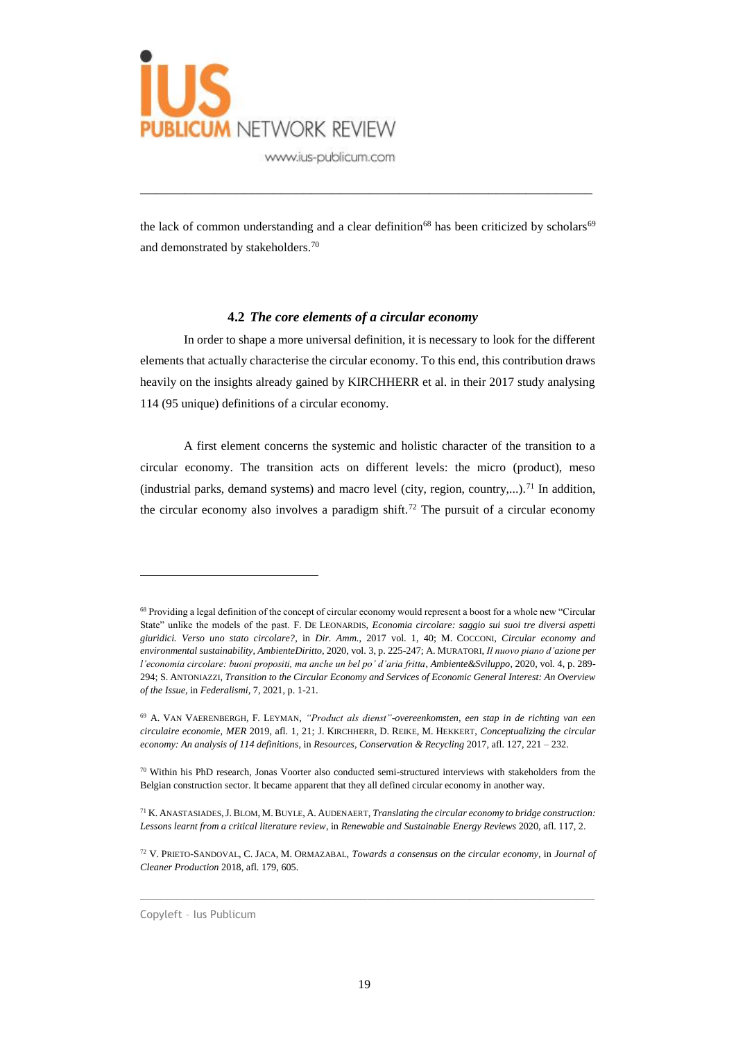

the lack of common understanding and a clear definition<sup>68</sup> has been criticized by scholars<sup>69</sup> and demonstrated by stakeholders.<sup>70</sup>

\_\_\_\_\_\_\_\_\_\_\_\_\_\_\_\_\_\_\_\_\_\_\_\_\_\_\_\_\_\_\_\_\_\_\_\_\_\_\_\_\_\_\_\_\_\_\_\_\_\_\_\_\_\_\_\_\_\_\_\_\_

#### **4.2** *The core elements of a circular economy*

In order to shape a more universal definition, it is necessary to look for the different elements that actually characterise the circular economy. To this end, this contribution draws heavily on the insights already gained by KIRCHHERR et al. in their 2017 study analysing 114 (95 unique) definitions of a circular economy.

A first element concerns the systemic and holistic character of the transition to a circular economy. The transition acts on different levels: the micro (product), meso (industrial parks, demand systems) and macro level (city, region, country,...).<sup>71</sup> In addition, the circular economy also involves a paradigm shift.<sup>72</sup> The pursuit of a circular economy

 $\_$  , and the set of the set of the set of the set of the set of the set of the set of the set of the set of the set of the set of the set of the set of the set of the set of the set of the set of the set of the set of th

Copyleft – Ius Publicum

<sup>68</sup> Providing a legal definition of the concept of circular economy would represent a boost for a whole new "Circular State" unlike the models of the past. F. DE LEONARDIS, *Economia circolare: saggio sui suoi tre diversi aspetti giuridici. Verso uno stato circolare?*, in *Dir. Amm.*, 2017 vol. 1, 40; M. COCCONI, *Circular economy and environmental sustainability*, *AmbienteDiritto*, 2020, vol. 3, p. 225-247; A. MURATORI, *Il nuovo piano d'azione per l'economia circolare: buoni propositi, ma anche un bel po' d'aria fritta*, *Ambiente&Sviluppo*, 2020, vol. 4, p. 289- 294; S. ANTONIAZZI, *Transition to the Circular Economy and Services of Economic General Interest: An Overview of the Issue*, in *Federalismi*, 7, 2021, p. 1-21.

<sup>69</sup> A. VAN VAERENBERGH, F. LEYMAN, *"Product als dienst"-overeenkomsten, een stap in de richting van een circulaire economie*, *MER* 2019, afl. 1, 21; J. KIRCHHERR, D. REIKE, M. HEKKERT, *Conceptualizing the circular economy: An analysis of 114 definitions*, in *Resources, Conservation & Recycling* 2017, afl. 127, 221 – 232.

<sup>70</sup> Within his PhD research, Jonas Voorter also conducted semi-structured interviews with stakeholders from the Belgian construction sector. It became apparent that they all defined circular economy in another way.

<sup>71</sup> K. ANASTASIADES,J. BLOM, M.BUYLE, A. AUDENAERT, *Translating the circular economy to bridge construction: Lessons learnt from a critical literature review*, in *Renewable and Sustainable Energy Reviews* 2020, afl. 117, 2.

<sup>72</sup> V. PRIETO-SANDOVAL, C. JACA, M. ORMAZABAL, *Towards a consensus on the circular economy*, in *Journal of Cleaner Production* 2018, afl. 179, 605.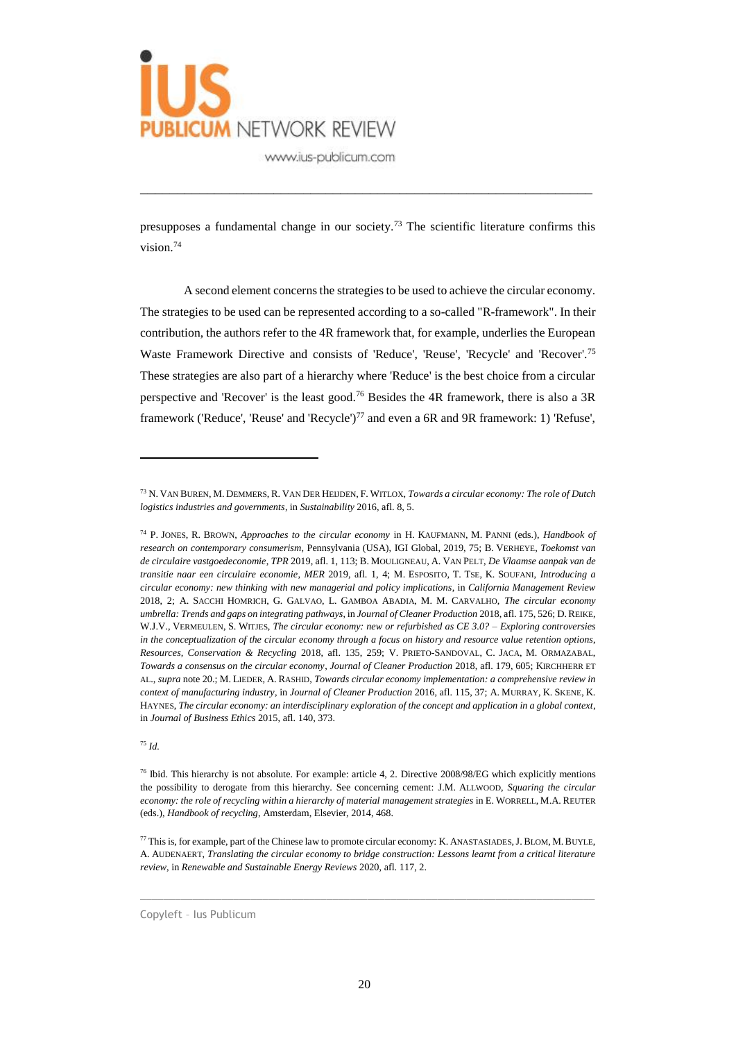

presupposes a fundamental change in our society.<sup>73</sup> The scientific literature confirms this vision.<sup>74</sup>

\_\_\_\_\_\_\_\_\_\_\_\_\_\_\_\_\_\_\_\_\_\_\_\_\_\_\_\_\_\_\_\_\_\_\_\_\_\_\_\_\_\_\_\_\_\_\_\_\_\_\_\_\_\_\_\_\_\_\_\_\_

A second element concerns the strategies to be used to achieve the circular economy. The strategies to be used can be represented according to a so-called "R-framework". In their contribution, the authors refer to the 4R framework that, for example, underlies the European Waste Framework Directive and consists of 'Reduce', 'Reuse', 'Recycle' and 'Recover'.<sup>75</sup> These strategies are also part of a hierarchy where 'Reduce' is the best choice from a circular perspective and 'Recover' is the least good.<sup>76</sup> Besides the 4R framework, there is also a 3R framework ('Reduce', 'Reuse' and 'Recycle')<sup>77</sup> and even a 6R and 9R framework: 1) 'Refuse',

<sup>75</sup> *Id.*

 $\overline{a}$ 

 $\_$  , and the set of the set of the set of the set of the set of the set of the set of the set of the set of the set of the set of the set of the set of the set of the set of the set of the set of the set of the set of th

<sup>73</sup> N. VAN BUREN, M. DEMMERS, R. VAN DER HEIJDEN, F. WITLOX, *Towards a circular economy: The role of Dutch logistics industries and governments*, in *Sustainability* 2016, afl. 8, 5.

<sup>74</sup> P. JONES, R. BROWN, *Approaches to the circular economy* in H. KAUFMANN, M. PANNI (eds.), *Handbook of research on contemporary consumerism*, Pennsylvania (USA), IGI Global, 2019, 75; B. VERHEYE, *Toekomst van de circulaire vastgoedeconomie*, *TPR* 2019, afl. 1, 113; B. MOULIGNEAU, A. VAN PELT, *De Vlaamse aanpak van de transitie naar een circulaire economie*, *MER* 2019, afl. 1, 4; M. ESPOSITO, T. TSE, K. SOUFANI, *Introducing a circular economy: new thinking with new managerial and policy implications*, in *California Management Review* 2018, 2; A. SACCHI HOMRICH, G. GALVAO, L. GAMBOA ABADIA, M. M. CARVALHO, *The circular economy umbrella: Trends and gaps on integrating pathways*, in *Journal of Cleaner Production* 2018, afl. 175, 526; D.REIKE, W.J.V., VERMEULEN, S. WITJES, *The circular economy: new or refurbished as CE 3.0? – Exploring controversies in the conceptualization of the circular economy through a focus on history and resource value retention options*, *Resources, Conservation & Recycling* 2018, afl. 135, 259; V. PRIETO-SANDOVAL, C. JACA, M. ORMAZABAL, *Towards a consensus on the circular economy*, *Journal of Cleaner Production* 2018, afl. 179, 605; KIRCHHERR ET AL., *supra* note 20.; M. LIEDER, A. RASHID, *Towards circular economy implementation: a comprehensive review in context of manufacturing industry*, in *Journal of Cleaner Production* 2016, afl. 115, 37; A. MURRAY, K. SKENE, K. HAYNES, *The circular economy: an interdisciplinary exploration of the concept and application in a global context*, in *Journal of Business Ethics* 2015, afl. 140, 373.

<sup>76</sup> Ibid. This hierarchy is not absolute. For example: article 4, 2. Directive 2008/98/EG which explicitly mentions the possibility to derogate from this hierarchy. See concerning cement: J.M. ALLWOOD, *Squaring the circular economy: the role of recycling within a hierarchy of material management strategies* in E. WORRELL, M.A. REUTER (eds.), *Handbook of recycling*, Amsterdam, Elsevier, 2014, 468.

<sup>77</sup> This is, for example, part of the Chinese law to promote circular economy: K. ANASTASIADES,J. BLOM, M.BUYLE, A. AUDENAERT, *Translating the circular economy to bridge construction: Lessons learnt from a critical literature review*, in *Renewable and Sustainable Energy Reviews* 2020, afl. 117, 2.

Copyleft – Ius Publicum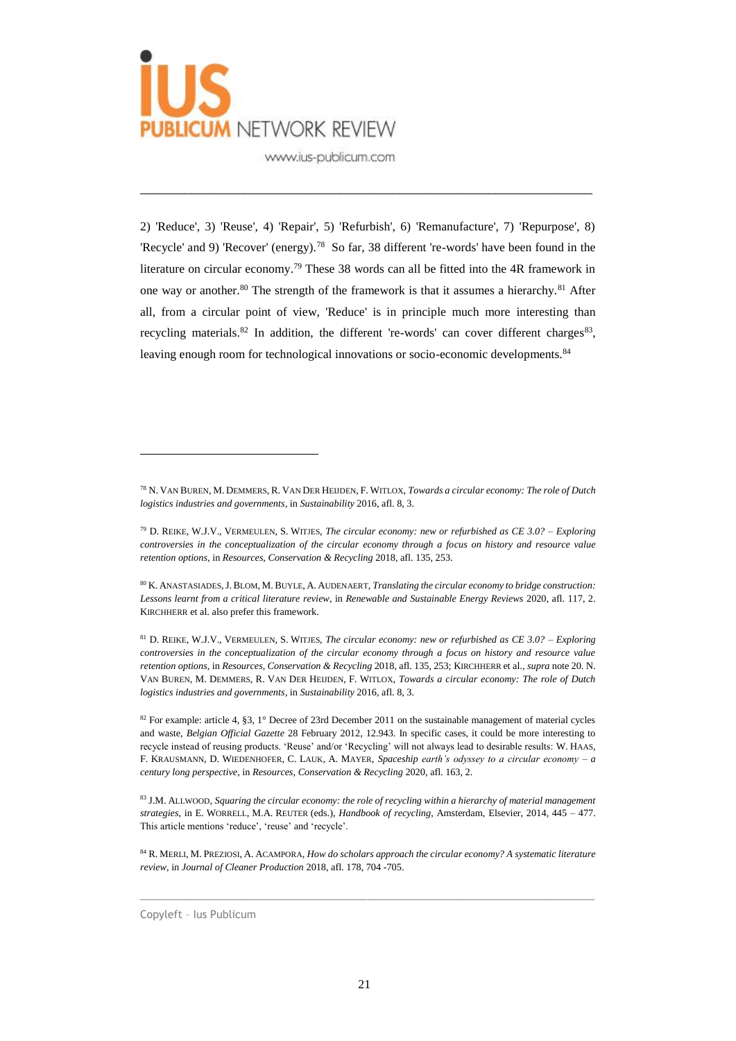

2) 'Reduce', 3) 'Reuse', 4) 'Repair', 5) 'Refurbish', 6) 'Remanufacture', 7) 'Repurpose', 8) 'Recycle' and 9) 'Recover' (energy).<sup>78</sup> So far, 38 different 're-words' have been found in the literature on circular economy.<sup>79</sup> These 38 words can all be fitted into the 4R framework in one way or another.<sup>80</sup> The strength of the framework is that it assumes a hierarchy.<sup>81</sup> After all, from a circular point of view, 'Reduce' is in principle much more interesting than recycling materials.<sup>82</sup> In addition, the different 're-words' can cover different charges<sup>83</sup>, leaving enough room for technological innovations or socio-economic developments.<sup>84</sup>

\_\_\_\_\_\_\_\_\_\_\_\_\_\_\_\_\_\_\_\_\_\_\_\_\_\_\_\_\_\_\_\_\_\_\_\_\_\_\_\_\_\_\_\_\_\_\_\_\_\_\_\_\_\_\_\_\_\_\_\_\_

 $\_$  , and the set of the set of the set of the set of the set of the set of the set of the set of the set of the set of the set of the set of the set of the set of the set of the set of the set of the set of the set of th

<sup>78</sup> N. VAN BUREN, M. DEMMERS, R. VAN DER HEIJDEN, F. WITLOX, *Towards a circular economy: The role of Dutch logistics industries and governments*, in *Sustainability* 2016, afl. 8, 3.

<sup>79</sup> D. REIKE, W.J.V., VERMEULEN, S. WITJES, *The circular economy: new or refurbished as CE 3.0? – Exploring controversies in the conceptualization of the circular economy through a focus on history and resource value retention options*, in *Resources, Conservation & Recycling* 2018, afl. 135, 253.

<sup>80</sup> K. ANASTASIADES,J. BLOM, M.BUYLE, A. AUDENAERT, *Translating the circular economy to bridge construction: Lessons learnt from a critical literature review*, in *Renewable and Sustainable Energy Reviews* 2020, afl. 117, 2. KIRCHHERR et al. also prefer this framework.

<sup>81</sup> D. REIKE, W.J.V., VERMEULEN, S. WITJES, *The circular economy: new or refurbished as CE 3.0? – Exploring controversies in the conceptualization of the circular economy through a focus on history and resource value retention options*, in *Resources, Conservation & Recycling* 2018, afl. 135, 253; KIRCHHERR et al., *supra* note 20. N. VAN BUREN, M. DEMMERS, R. VAN DER HEIJDEN, F. WITLOX, *Towards a circular economy: The role of Dutch logistics industries and governments*, in *Sustainability* 2016, afl. 8, 3.

<sup>82</sup> For example: article 4, §3, 1° Decree of 23rd December 2011 on the sustainable management of material cycles and waste, *Belgian Official Gazette* 28 February 2012, 12.943. In specific cases, it could be more interesting to recycle instead of reusing products. 'Reuse' and/or 'Recycling' will not always lead to desirable results: W. HAAS, F. KRAUSMANN, D. WIEDENHOFER, C. LAUK, A. MAYER, *Spaceship earth's odyssey to a circular economy – a century long perspective*, in *Resources, Conservation & Recycling* 2020, afl. 163, 2.

<sup>83</sup> J.M. ALLWOOD, *Squaring the circular economy: the role of recycling within a hierarchy of material management strategies*, in E. WORRELL, M.A. REUTER (eds.), *Handbook of recycling*, Amsterdam, Elsevier, 2014, 445 – 477. This article mentions 'reduce', 'reuse' and 'recycle'.

<sup>84</sup> R. MERLI, M. PREZIOSI, A. ACAMPORA, *How do scholars approach the circular economy? A systematic literature review*, in *Journal of Cleaner Production* 2018, afl. 178, 704 -705.

Copyleft – Ius Publicum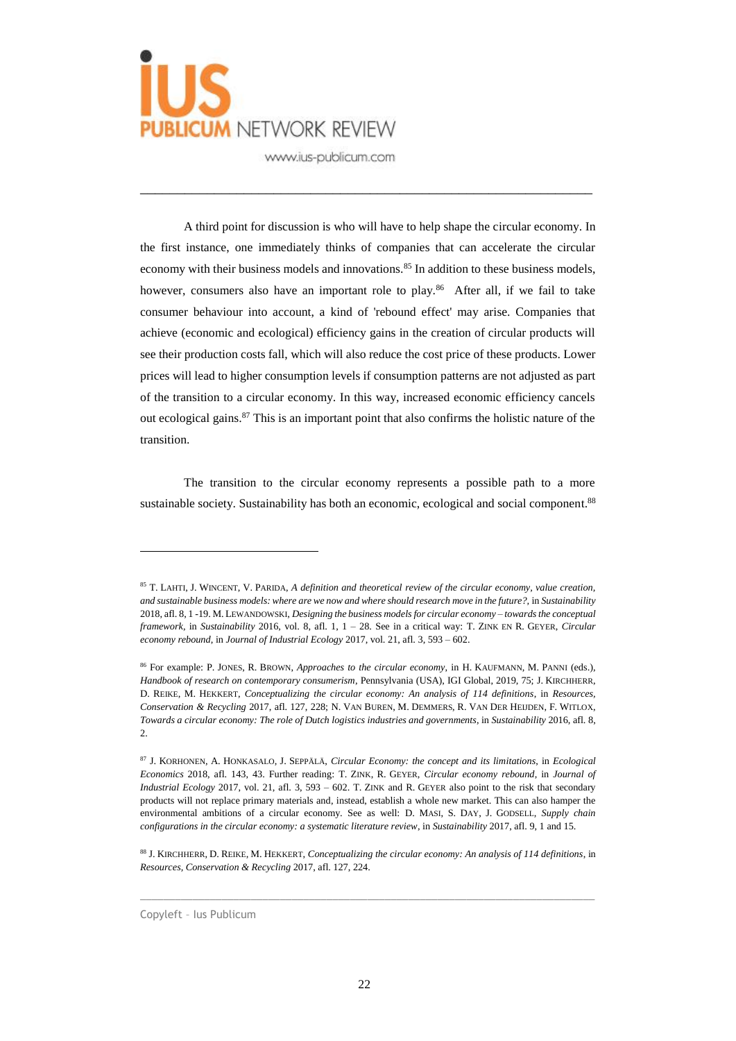

A third point for discussion is who will have to help shape the circular economy. In the first instance, one immediately thinks of companies that can accelerate the circular economy with their business models and innovations.<sup>85</sup> In addition to these business models, however, consumers also have an important role to play.<sup>86</sup> After all, if we fail to take consumer behaviour into account, a kind of 'rebound effect' may arise. Companies that achieve (economic and ecological) efficiency gains in the creation of circular products will see their production costs fall, which will also reduce the cost price of these products. Lower prices will lead to higher consumption levels if consumption patterns are not adjusted as part of the transition to a circular economy. In this way, increased economic efficiency cancels out ecological gains.<sup>87</sup> This is an important point that also confirms the holistic nature of the transition.

\_\_\_\_\_\_\_\_\_\_\_\_\_\_\_\_\_\_\_\_\_\_\_\_\_\_\_\_\_\_\_\_\_\_\_\_\_\_\_\_\_\_\_\_\_\_\_\_\_\_\_\_\_\_\_\_\_\_\_\_\_

The transition to the circular economy represents a possible path to a more sustainable society. Sustainability has both an economic, ecological and social component.<sup>88</sup>

 $\_$  , and the set of the set of the set of the set of the set of the set of the set of the set of the set of the set of the set of the set of the set of the set of the set of the set of the set of the set of the set of th

Copyleft – Ius Publicum

<sup>85</sup> T. LAHTI, J. WINCENT, V. PARIDA, *A definition and theoretical review of the circular economy, value creation, and sustainable business models: where are we now and where should research move in the future?,* in *Sustainability* 2018, afl. 8, 1 -19. M. LEWANDOWSKI, *Designing the business models for circular economy – towards the conceptual framework*, in *Sustainability* 2016, vol. 8, afl. 1, 1 – 28. See in a critical way: T. ZINK EN R. GEYER, *Circular economy rebound*, in *Journal of Industrial Ecology* 2017, vol. 21, afl. 3, 593 – 602.

<sup>86</sup> For example: P. JONES, R. BROWN, *Approaches to the circular economy*, in H. KAUFMANN, M. PANNI (eds.), *Handbook of research on contemporary consumerism*, Pennsylvania (USA), IGI Global, 2019, 75; J. KIRCHHERR, D. REIKE, M. HEKKERT, *Conceptualizing the circular economy: An analysis of 114 definitions*, in *Resources, Conservation & Recycling* 2017, afl. 127, 228; N. VAN BUREN, M. DEMMERS, R. VAN DER HEIJDEN, F. WITLOX, *Towards a circular economy: The role of Dutch logistics industries and governments*, in *Sustainability* 2016, afl. 8,  $2.5$ 

<sup>87</sup> J. KORHONEN, A. HONKASALO, J. SEPPÄLÄ, *Circular Economy: the concept and its limitations*, in *Ecological Economics* 2018, afl. 143, 43. Further reading: T. ZINK, R. GEYER, *Circular economy rebound*, in *Journal of Industrial Ecology* 2017, vol. 21, afl. 3, 593 – 602. T. ZINK and R. GEYER also point to the risk that secondary products will not replace primary materials and, instead, establish a whole new market. This can also hamper the environmental ambitions of a circular economy. See as well: D. MASI, S. DAY, J. GODSELL, *Supply chain configurations in the circular economy: a systematic literature review*, in *Sustainability* 2017, afl. 9, 1 and 15.

<sup>88</sup> J. KIRCHHERR, D. REIKE, M. HEKKERT, *Conceptualizing the circular economy: An analysis of 114 definitions*, in *Resources, Conservation & Recycling* 2017, afl. 127, 224.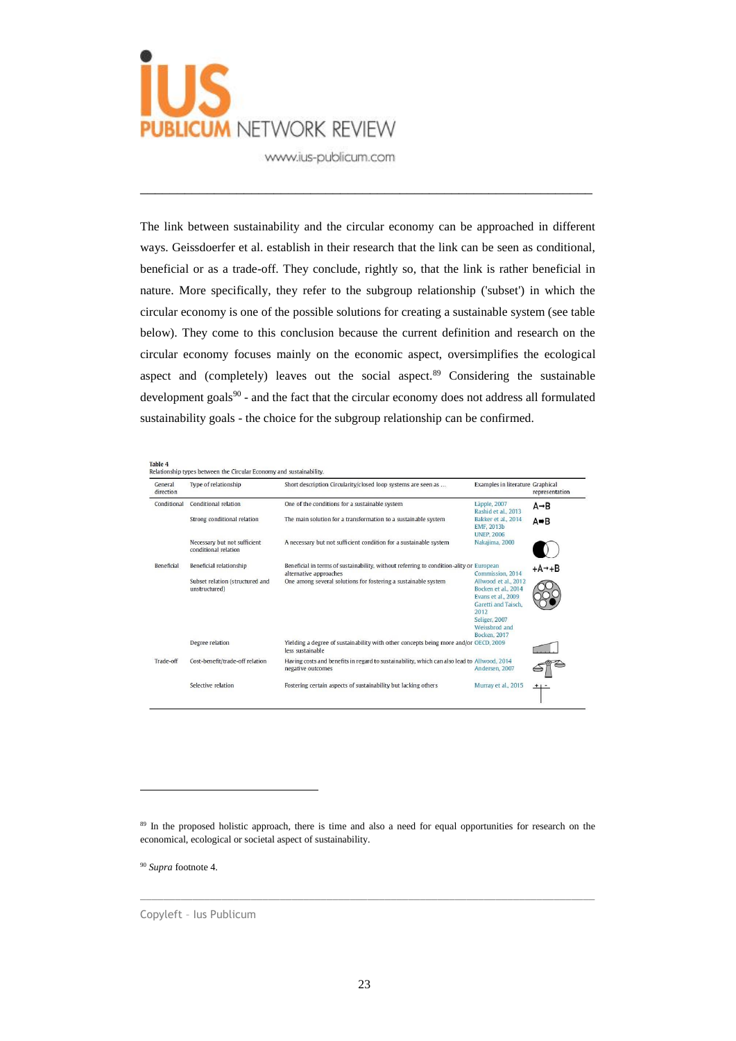

The link between sustainability and the circular economy can be approached in different ways. Geissdoerfer et al. establish in their research that the link can be seen as conditional, beneficial or as a trade-off. They conclude, rightly so, that the link is rather beneficial in nature. More specifically, they refer to the subgroup relationship ('subset') in which the circular economy is one of the possible solutions for creating a sustainable system (see table below). They come to this conclusion because the current definition and research on the circular economy focuses mainly on the economic aspect, oversimplifies the ecological aspect and (completely) leaves out the social aspect. $89$  Considering the sustainable development goals<sup>90</sup> - and the fact that the circular economy does not address all formulated sustainability goals - the choice for the subgroup relationship can be confirmed.

\_\_\_\_\_\_\_\_\_\_\_\_\_\_\_\_\_\_\_\_\_\_\_\_\_\_\_\_\_\_\_\_\_\_\_\_\_\_\_\_\_\_\_\_\_\_\_\_\_\_\_\_\_\_\_\_\_\_\_\_\_

| General<br>direction | Type of relationship                                 | Short description Circularity/closed loop systems are seen as                                                     | Examples in literature Graphical                                                                                                                           | representation      |
|----------------------|------------------------------------------------------|-------------------------------------------------------------------------------------------------------------------|------------------------------------------------------------------------------------------------------------------------------------------------------------|---------------------|
| Conditional          | Conditional relation                                 | One of the conditions for a sustainable system                                                                    | Läpple, 2007<br>Rashid et al., 2013                                                                                                                        | $A \rightarrow B$   |
|                      | Strong conditional relation                          | The main solution for a transformation to a sustainable system                                                    | Bakker et al., 2014<br>EMF, 2013b<br><b>UNEP, 2006</b>                                                                                                     | A⇒B                 |
|                      | Necessary but not sufficient<br>conditional relation | A necessary but not sufficient condition for a sustainable system                                                 | Nakajima, 2000                                                                                                                                             |                     |
| <b>Beneficial</b>    | Beneficial relationship                              | Beneficial in terms of sustainability, without referring to condition-ality or European<br>alternative approaches | Commission, 2014                                                                                                                                           | $+A \rightarrow +B$ |
|                      | Subset relation (structured and<br>unstructured)     | One among several solutions for fostering a sustainable system                                                    | Allwood et al., 2012<br>Bocken et al., 2014<br>Evans et al., 2009<br>Garetti and Taisch.<br>2012<br>Seliger, 2007<br>Weissbrod and<br><b>Bocken</b> , 2017 |                     |
|                      | Degree relation                                      | Yielding a degree of sustainability with other concepts being more and/or OECD, 2009<br>less sustainable          |                                                                                                                                                            |                     |
| Trade-off            | Cost-benefit/trade-off relation                      | Having costs and benefits in regard to sustainability, which can also lead to Allwood, 2014<br>negative outcomes  | Andersen, 2007                                                                                                                                             |                     |
|                      | Selective relation                                   | Fostering certain aspects of sustainability but lacking others                                                    | Murray et al., 2015                                                                                                                                        |                     |

 $\_$  , and the set of the set of the set of the set of the set of the set of the set of the set of the set of the set of the set of the set of the set of the set of the set of the set of the set of the set of the set of th

<sup>90</sup> *Supra* footnote 4.

 $\overline{a}$ 

Copyleft – Ius Publicum

<sup>&</sup>lt;sup>89</sup> In the proposed holistic approach, there is time and also a need for equal opportunities for research on the economical, ecological or societal aspect of sustainability.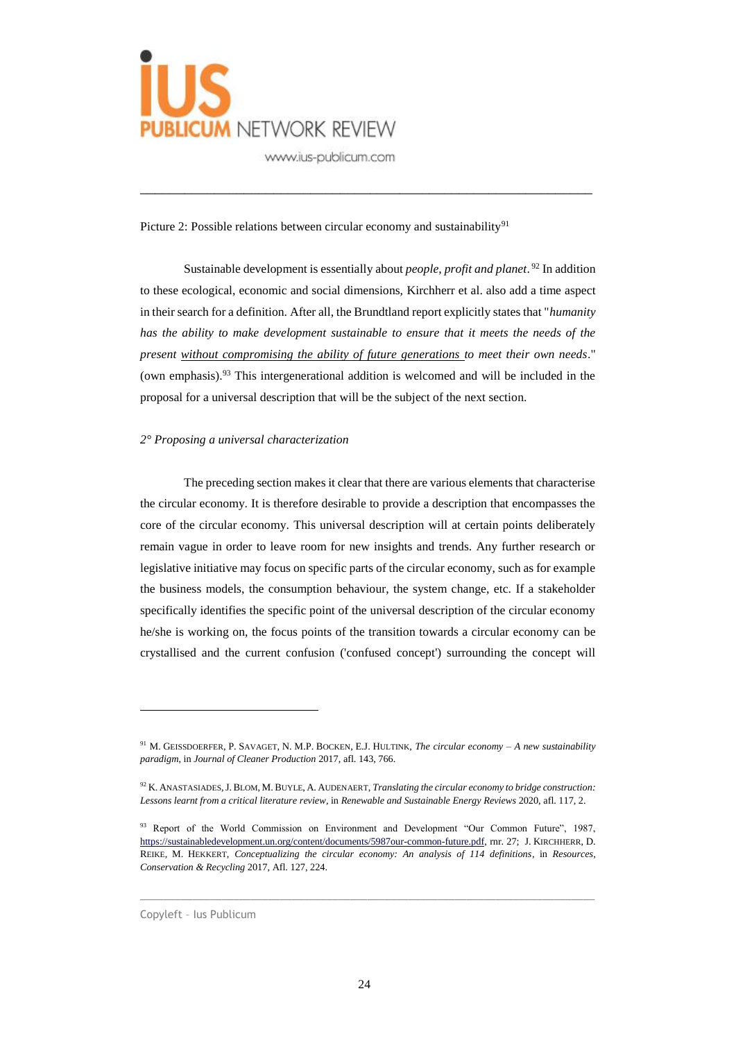

Picture 2: Possible relations between circular economy and sustainability<sup>91</sup>

Sustainable development is essentially about *people, profit and planet*. <sup>92</sup> In addition to these ecological, economic and social dimensions, Kirchherr et al. also add a time aspect in their search for a definition. After all, the Brundtland report explicitly states that "*humanity*  has the ability to make development sustainable to ensure that it meets the needs of the *present without compromising the ability of future generations to meet their own needs*." (own emphasis).<sup>93</sup> This intergenerational addition is welcomed and will be included in the proposal for a universal description that will be the subject of the next section.

\_\_\_\_\_\_\_\_\_\_\_\_\_\_\_\_\_\_\_\_\_\_\_\_\_\_\_\_\_\_\_\_\_\_\_\_\_\_\_\_\_\_\_\_\_\_\_\_\_\_\_\_\_\_\_\_\_\_\_\_\_

#### *2° Proposing a universal characterization*

The preceding section makes it clear that there are various elements that characterise the circular economy. It is therefore desirable to provide a description that encompasses the core of the circular economy. This universal description will at certain points deliberately remain vague in order to leave room for new insights and trends. Any further research or legislative initiative may focus on specific parts of the circular economy, such as for example the business models, the consumption behaviour, the system change, etc. If a stakeholder specifically identifies the specific point of the universal description of the circular economy he/she is working on, the focus points of the transition towards a circular economy can be crystallised and the current confusion ('confused concept') surrounding the concept will

 $\_$  , and the set of the set of the set of the set of the set of the set of the set of the set of the set of the set of the set of the set of the set of the set of the set of the set of the set of the set of the set of th

<sup>91</sup> M. GEISSDOERFER, P. SAVAGET, N. M.P. BOCKEN, E.J. HULTINK, *The circular economy – A new sustainability paradigm*, in *Journal of Cleaner Production* 2017, afl. 143, 766.

<sup>92</sup> K. ANASTASIADES,J. BLOM, M.BUYLE, A. AUDENAERT, *Translating the circular economy to bridge construction: Lessons learnt from a critical literature review*, in *Renewable and Sustainable Energy Reviews* 2020, afl. 117, 2.

<sup>93</sup> Report of the World Commission on Environment and Development "Our Common Future", 1987, [https://sustainabledevelopment.un.org/content/documents/5987our-common-future.pdf,](https://sustainabledevelopment.un.org/content/documents/5987our-common-future.pdf) rnr. 27; J. KIRCHHERR, D. REIKE, M. HEKKERT, *Conceptualizing the circular economy: An analysis of 114 definitions*, in *Resources, Conservation & Recycling* 2017, Afl. 127, 224.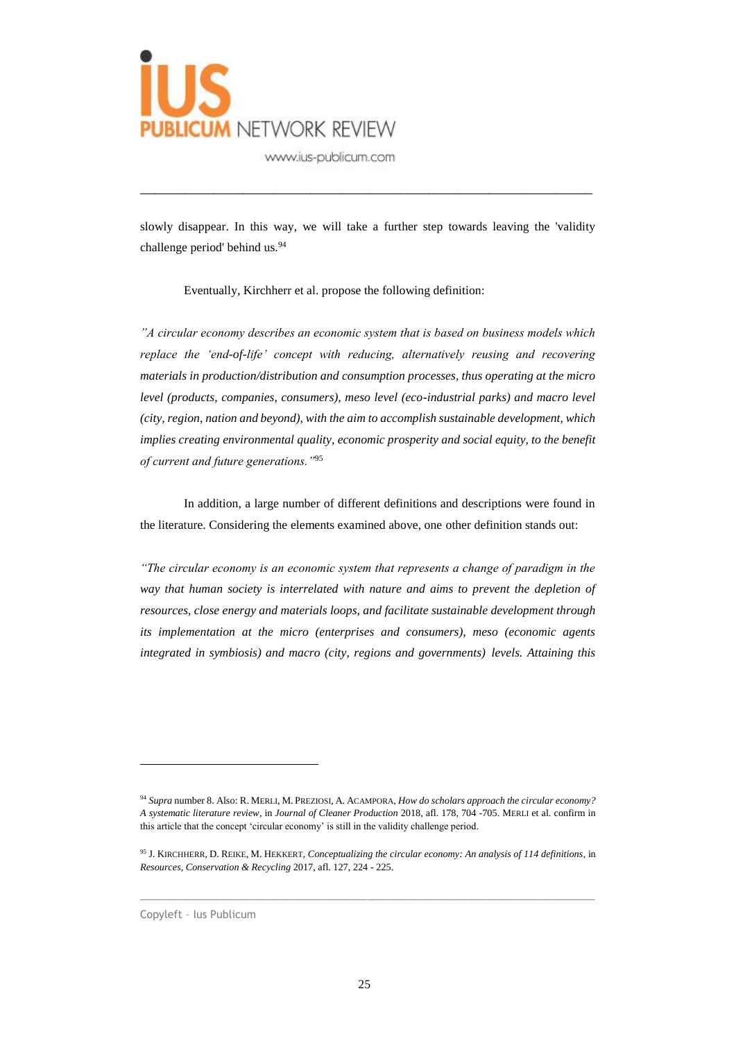

slowly disappear. In this way, we will take a further step towards leaving the 'validity challenge period' behind us.<sup>94</sup>

\_\_\_\_\_\_\_\_\_\_\_\_\_\_\_\_\_\_\_\_\_\_\_\_\_\_\_\_\_\_\_\_\_\_\_\_\_\_\_\_\_\_\_\_\_\_\_\_\_\_\_\_\_\_\_\_\_\_\_\_\_

Eventually, Kirchherr et al. propose the following definition:

*"A circular economy describes an economic system that is based on business models which replace the 'end-of-life' concept with reducing, alternatively reusing and recovering materials in production/distribution and consumption processes, thus operating at the micro level (products, companies, consumers), meso level (eco-industrial parks) and macro level (city, region, nation and beyond), with the aim to accomplish sustainable development, which implies creating environmental quality, economic prosperity and social equity, to the benefit of current and future generations."*<sup>95</sup>

In addition, a large number of different definitions and descriptions were found in the literature. Considering the elements examined above, one other definition stands out:

*"The circular economy is an economic system that represents a change of paradigm in the way that human society is interrelated with nature and aims to prevent the depletion of resources, close energy and materials loops, and facilitate sustainable development through its implementation at the micro (enterprises and consumers), meso (economic agents integrated in symbiosis) and macro (city, regions and governments) levels. Attaining this* 

 $\_$  , and the set of the set of the set of the set of the set of the set of the set of the set of the set of the set of the set of the set of the set of the set of the set of the set of the set of the set of the set of th

Copyleft – Ius Publicum

<sup>94</sup> *Supra* number 8. Also: R. MERLI, M. PREZIOSI, A. ACAMPORA, *How do scholars approach the circular economy? A systematic literature review*, in *Journal of Cleaner Production* 2018, afl. 178, 704 -705. MERLI et al. confirm in this article that the concept 'circular economy' is still in the validity challenge period.

<sup>95</sup> J. KIRCHHERR, D. REIKE, M. HEKKERT, *Conceptualizing the circular economy: An analysis of 114 definitions*, in *Resources, Conservation & Recycling* 2017, afl. 127, 224 - 225.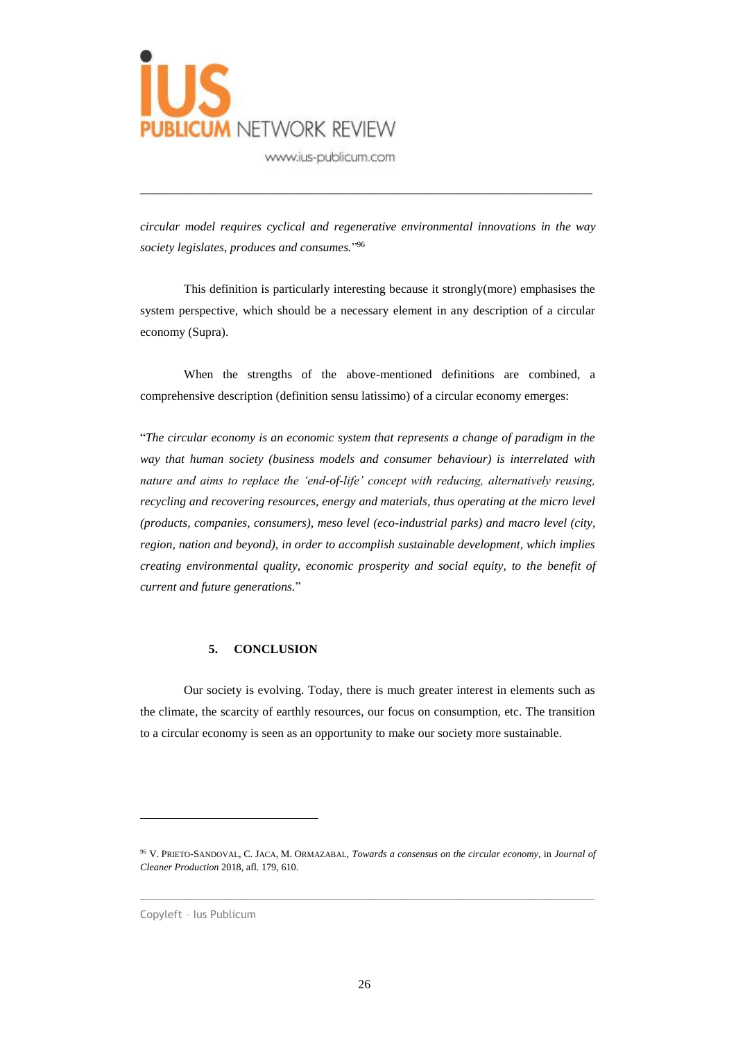

*circular model requires cyclical and regenerative environmental innovations in the way society legislates, produces and consumes.*" 96

\_\_\_\_\_\_\_\_\_\_\_\_\_\_\_\_\_\_\_\_\_\_\_\_\_\_\_\_\_\_\_\_\_\_\_\_\_\_\_\_\_\_\_\_\_\_\_\_\_\_\_\_\_\_\_\_\_\_\_\_\_

This definition is particularly interesting because it strongly(more) emphasises the system perspective, which should be a necessary element in any description of a circular economy (Supra).

When the strengths of the above-mentioned definitions are combined, a comprehensive description (definition sensu latissimo) of a circular economy emerges:

"*The circular economy is an economic system that represents a change of paradigm in the way that human society (business models and consumer behaviour) is interrelated with nature and aims to replace the 'end-of-life' concept with reducing, alternatively reusing, recycling and recovering resources, energy and materials, thus operating at the micro level (products, companies, consumers), meso level (eco-industrial parks) and macro level (city, region, nation and beyond), in order to accomplish sustainable development, which implies creating environmental quality, economic prosperity and social equity, to the benefit of current and future generations.*"

#### **5. CONCLUSION**

Our society is evolving. Today, there is much greater interest in elements such as the climate, the scarcity of earthly resources, our focus on consumption, etc. The transition to a circular economy is seen as an opportunity to make our society more sustainable.

 $\_$  , and the set of the set of the set of the set of the set of the set of the set of the set of the set of the set of the set of the set of the set of the set of the set of the set of the set of the set of the set of th

<sup>96</sup> V. PRIETO-SANDOVAL, C. JACA, M. ORMAZABAL, *Towards a consensus on the circular economy*, in *Journal of Cleaner Production* 2018, afl. 179, 610.

Copyleft – Ius Publicum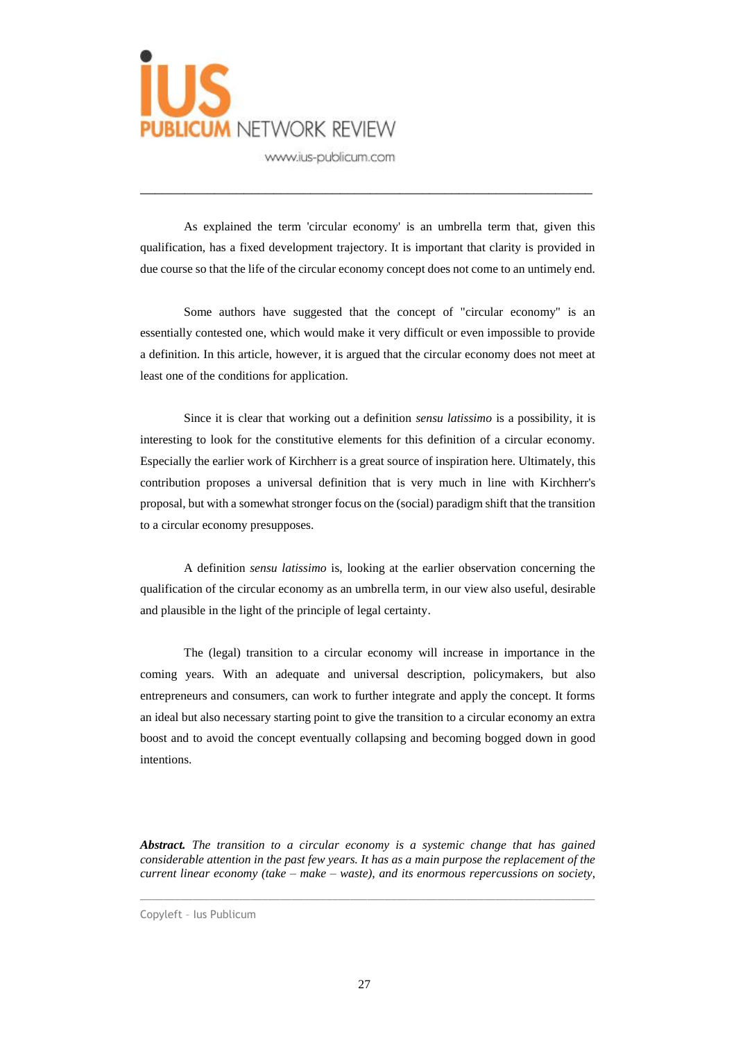

As explained the term 'circular economy' is an umbrella term that, given this qualification, has a fixed development trajectory. It is important that clarity is provided in due course so that the life of the circular economy concept does not come to an untimely end.

\_\_\_\_\_\_\_\_\_\_\_\_\_\_\_\_\_\_\_\_\_\_\_\_\_\_\_\_\_\_\_\_\_\_\_\_\_\_\_\_\_\_\_\_\_\_\_\_\_\_\_\_\_\_\_\_\_\_\_\_\_

Some authors have suggested that the concept of "circular economy" is an essentially contested one, which would make it very difficult or even impossible to provide a definition. In this article, however, it is argued that the circular economy does not meet at least one of the conditions for application.

Since it is clear that working out a definition *sensu latissimo* is a possibility, it is interesting to look for the constitutive elements for this definition of a circular economy. Especially the earlier work of Kirchherr is a great source of inspiration here. Ultimately, this contribution proposes a universal definition that is very much in line with Kirchherr's proposal, but with a somewhat stronger focus on the (social) paradigm shift that the transition to a circular economy presupposes.

A definition *sensu latissimo* is, looking at the earlier observation concerning the qualification of the circular economy as an umbrella term, in our view also useful, desirable and plausible in the light of the principle of legal certainty.

The (legal) transition to a circular economy will increase in importance in the coming years. With an adequate and universal description, policymakers, but also entrepreneurs and consumers, can work to further integrate and apply the concept. It forms an ideal but also necessary starting point to give the transition to a circular economy an extra boost and to avoid the concept eventually collapsing and becoming bogged down in good intentions.

*Abstract. The transition to a circular economy is a systemic change that has gained considerable attention in the past few years. It has as a main purpose the replacement of the current linear economy (take – make – waste), and its enormous repercussions on society,* 

 $\_$  , and the set of the set of the set of the set of the set of the set of the set of the set of the set of the set of the set of the set of the set of the set of the set of the set of the set of the set of the set of th

Copyleft – Ius Publicum